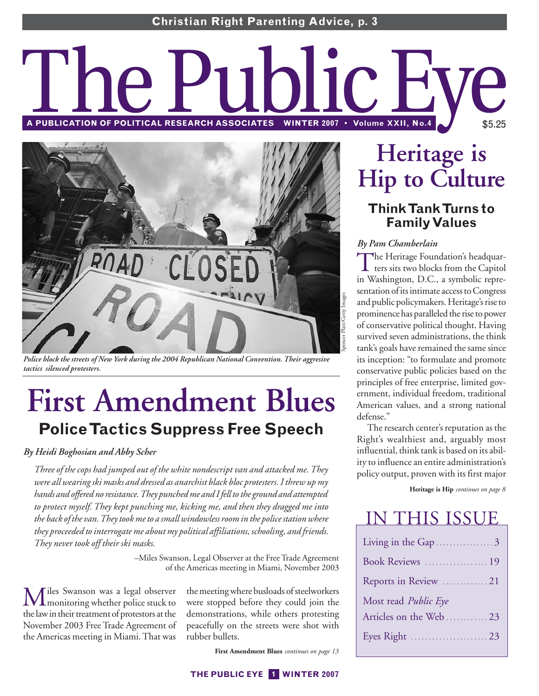# **A PUBLICATION OF POLITICAL RESEARCH ASSOCIATES WINTER 2007 • Volume XXII, No.4** \$5.25



*Police block the streets of New York during the 2004 Republican National Convention. Their aggresive tactics silenced protesters.*

# **First Amendment Blues Police Tactics Suppress Free Speech**

## *By Heidi Boghosian and Abby Scher*

*Three of the cops had jumped out of the white nondescript van and attacked me. They were all wearing ski masks and dressed as anarchist black bloc protesters. I threw up my hands and offered no resistance. They punched me and I fell to the ground and attempted to protect myself. They kept punching me, kicking me, and then they dragged me into the back of the van. They took me to a small windowless room in the police station where they proceeded to interrogate me about my political affiliations, schooling, and friends. They never took off their ski masks.*

> –Miles Swanson, Legal Observer at the Free Trade Agreement of the Americas meeting in Miami, November 2003

Miles Swanson was a legal observer monitoring whether police stuck to the law in their treatment of protestors at the November 2003 Free Trade Agreement of the Americas meeting in Miami. That was

the meeting where busloads of steelworkers were stopped before they could join the demonstrations, while others protesting peacefully on the streets were shot with rubber bullets.

**First Amendment Blues** *continues on page 13* 

# **Heritage is Hip to Culture**

## **Think Tank Turns to Family Values**

## *By Pam Chamberlain*

The Heritage Foundation's headquarters sits two blocks from the Capitol in Washington, D.C., a symbolic representation of its intimate access to Congress and public policymakers. Heritage's rise to prominence has paralleled the rise to power of conservative political thought. Having survived seven administrations, the think tank's goals have remained the same since its inception: "to formulate and promote conservative public policies based on the principles of free enterprise, limited government, individual freedom, traditional American values, and a strong national defense."

The research center's reputation as the Right's wealthiest and, arguably most influential, think tank is based on its ability to influence an entire administration's policy output, proven with its first major

**Heritage is Hip** *continues on page 8*

## IN THIS ISSUE

| Living in the Gap 3   |
|-----------------------|
| Book Reviews  19      |
| Reports in Review 21  |
| Most read Public Eye  |
| Articles on the Web23 |
|                       |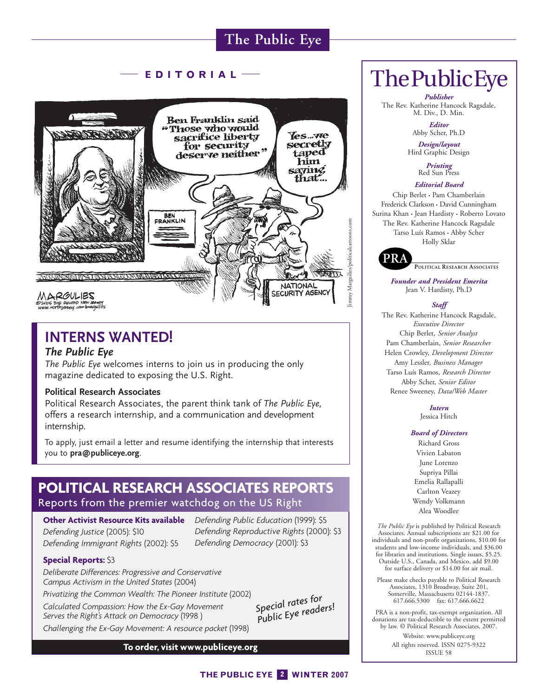## **EDITORIAL**



## **INTERNS WANTED!**

## *The Public Eye*

*The Public Eye* welcomes interns to join us in producing the only magazine dedicated to exposing the U.S. Right.

#### **Political Research Associates**

Political Research Associates, the parent think tank of *The Public Eye,* offers a research internship, and a communication and development internship.

To apply, just email a letter and resume identifying the internship that interests you to **pra@publiceye.org**.

## **POLITICAL RESEARCH ASSOCIATES REPORTS** Reports from the premier watchdog on the US Right

**Other Activist Resource Kits available** *Defending Public Education* (1999): \$5 *Defending Justice* (2005): \$10 *Defending Immigrant Rights* (2002): \$5

*Defending Reproductive Rights* (2000): \$3 *Defending Democracy* (2001): \$3

#### **Special Reports:** \$3

*Deliberate Differences: Progressive and Conservative Campus Activism in the United States* (2004)

*Privatizing the Common Wealth: The Pioneer Institute* (2002) *Calculated Compassion: How the Ex-Gay Movement Serves the Right's Attack on Democracy* (1998 ) *Challenging the Ex-Gay Movement: A resource packet* (1998)

*Special rates for Public Eye readers!*

#### **To order, visit www.publiceye.org**

## ThePublicEye

*Publisher* The Rev. Katherine Hancock Ragsdale, M. Div., D. Min.

> *Editor* Abby Scher, Ph.D

*Design/layout* Hird Graphic Design

*Printing* Red Sun Press

#### *Editorial Board*

Chip Berlet • Pam Chamberlain Frederick Clarkson • David Cunningham Surina Khan • Jean Hardisty • Roberto Lovato The Rev. Katherine Hancock Ragsdale Tarso Luís Ramos • Abby Scher Holly Sklar



PRA Political Research Associates **POLITICAL RESEARCH ASSOCIATES**

*Founder and President Emerita* Jean V. Hardisty, Ph.D

#### *Staff*

The Rev. Katherine Hancock Ragsdale, *Executive Director* Chip Berlet, *Senior Analyst* Pam Chamberlain, *Senior Researcher* Helen Crowley, *Development Director* Amy Lessler, *Business Manager* Tarso Luís Ramos, *Research Director* Abby Scher, *Senior Editor* Renee Sweeney, *Data/Web Master*

> *Intern* Jessica Hitch

#### *Board of Directors*

Richard Gross Vivien Labaton June Lorenzo Supriya Pillai Emelia Rallapalli Carlton Veazey Wendy Volkmann Alea Woodlee

*The Public Eye* is published by Political Research Associates. Annual subscriptions are \$21.00 for individuals and non-profit organizations, \$10.00 for students and low-income individuals, and \$36.00 for libraries and institutions. Single issues, \$5.25. Outside U.S., Canada, and Mexico, add \$9.00 for surface delivery or \$14.00 for air mail.

Please make checks payable to Political Research Associates, 1310 Broadway, Suite 201, Somerville, Massachusetts 02144-1837. 617.666.5300 fax: 617.666.6622

PRA is a non-profit, tax-exempt organization. All donations are tax-deductible to the extent permitted by law. © Political Research Associates, 2007. Website: www.publiceye.org All rights reserved. ISSN 0275-9322 ISSUE 58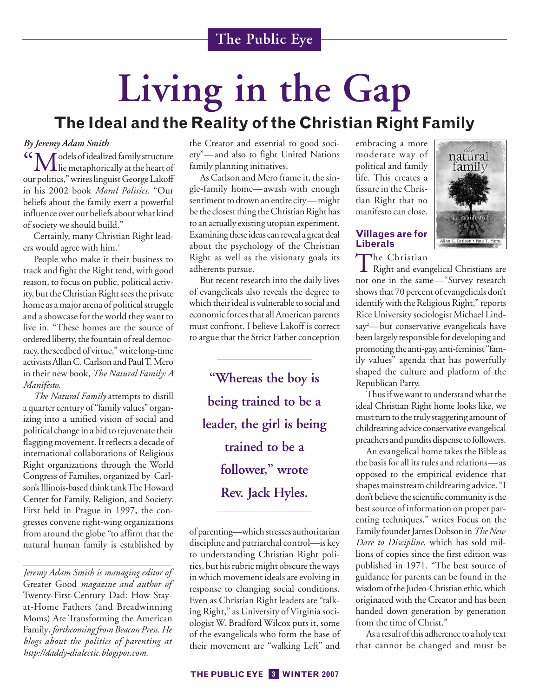# **Living in the Gap The Ideal and the Reality of the Christian Right Family**

## *By Jeremy Adam Smith*

"Models of idealized family structure lie metaphorically at the heart of our politics," writes linguist George Lakoff in his 2002 book *Moral Politics*. "Our beliefs about the family exert a powerful influence over our beliefs about what kind of society we should build."

Certainly, many Christian Right leaders would agree with him.<sup>1</sup>

People who make it their business to track and fight the Right tend, with good reason, to focus on public, political activity, but the Christian Right sees the private home as a major arena of political struggle and a showcase for the world they want to live in. "These homes are the source of ordered liberty, the fountain of real democracy, the seedbed of virtue," write long-time activists Allan C. Carlson and Paul T. Mero in their new book, *The Natural Family: A Manifesto.*

*The Natural Family* attempts to distill a quarter century of "family values" organizing into a unified vision of social and political change in a bid to rejuvenate their flagging movement. It reflects a decade of international collaborations of Religious Right organizations through the World Congress of Families, organized by Carlson's Illinois-based think tank The Howard Center for Family, Religion, and Society. First held in Prague in 1997, the congresses convene right-wing organizations from around the globe "to affirm that the natural human family is established by

*Jeremy Adam Smith is managing editor of* Greater Good *magazine and author of* Twenty-First-Century Dad: How Stayat-Home Fathers (and Breadwinning Moms) Are Transforming the American Family*, forthcoming from Beacon Press. He blogs about the politics of parenting at http://daddy-dialectic.blogspot.com.*

the Creator and essential to good society"—and also to fight United Nations family planning initiatives.

As Carlson and Mero frame it, the single-family home—awash with enough sentiment to drown an entire city—might be the closest thing the Christian Right has to an actually existing utopian experiment. Examining these ideas can reveal a great deal about the psychology of the Christian Right as well as the visionary goals its adherents pursue.

But recent research into the daily lives of evangelicals also reveals the degree to which their ideal is vulnerable to social and economic forces that all American parents must confront. I believe Lakoff is correct to argue that the Strict Father conception

**"Whereas the boy is being trained to be a leader, the girl is being trained to be a follower," wrote Rev. Jack Hyles.**

of parenting—which stresses authoritarian discipline and patriarchal control—is key to understanding Christian Right politics, but his rubric might obscure the ways in which movement ideals are evolving in response to changing social conditions. Even as Christian Right leaders are "talking Right," as University of Virginia sociologist W. Bradford Wilcox puts it, some of the evangelicals who form the base of their movement are "walking Left" and

embracing a more moderate way of political and family life. This creates a fissure in the Christian Right that no manifesto can close.

## **Villages are for Liberals**

The Christian<br>Right and evangelical Christians are not one in the same—"Survey research shows that 70 percent of evangelicals don't identify with the Religious Right," reports Rice University sociologist Michael Lindsay2 —but conservative evangelicals have been largely responsible for developing and promoting the anti-gay, anti-feminist "family values" agenda that has powerfully shaped the culture and platform of the Republican Party.

natural tamily

Thus if we want to understand what the ideal Christian Right home looks like, we must turn to the truly staggering amount of childrearing advice conservative evangelical preachers and pundits dispense to followers.

An evangelical home takes the Bible as the basis for all its rules and relations—as opposed to the empirical evidence that shapes mainstream childrearing advice. "I don't believe the scientific community is the best source of information on proper parenting techniques," writes Focus on the Family founder James Dobson in *The New Dare to Discipline*, which has sold millions of copies since the first edition was published in 1971. "The best source of guidance for parents can be found in the wisdom of the Judeo-Christian ethic, which originated with the Creator and has been handed down generation by generation from the time of Christ."

As a result of this adherence to a holy text that cannot be changed and must be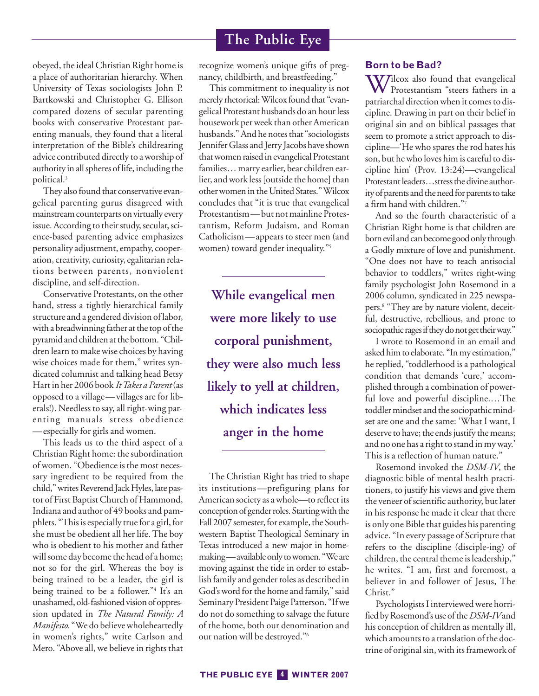obeyed, the ideal Christian Right home is a place of authoritarian hierarchy. When University of Texas sociologists John P. Bartkowski and Christopher G. Ellison compared dozens of secular parenting books with conservative Protestant parenting manuals, they found that a literal interpretation of the Bible's childrearing advice contributed directly to a worship of authority in all spheres of life, including the political.3

They also found that conservative evangelical parenting gurus disagreed with mainstream counterparts on virtually every issue. According to their study, secular, science-based parenting advice emphasizes personality adjustment, empathy, cooperation, creativity, curiosity, egalitarian relations between parents, nonviolent discipline, and self-direction.

Conservative Protestants, on the other hand, stress a tightly hierarchical family structure and a gendered division of labor, with a breadwinning father at the top of the pyramid and children at the bottom. "Children learn to make wise choices by having wise choices made for them," writes syndicated columnist and talking head Betsy Hart in her 2006 book *It Takes a Parent*(as opposed to a village—villages are for liberals!). Needless to say, all right-wing parenting manuals stress obedience —especially for girls and women.

This leads us to the third aspect of a Christian Right home: the subordination of women. "Obedience is the most necessary ingredient to be required from the child," writes Reverend Jack Hyles, late pastor of First Baptist Church of Hammond, Indiana and author of 49 books and pamphlets. "This is especially true for a girl, for she must be obedient all her life. The boy who is obedient to his mother and father will some day become the head of a home; not so for the girl. Whereas the boy is being trained to be a leader, the girl is being trained to be a follower."<sup>4</sup> It's an unashamed, old-fashioned vision of oppression updated in *The Natural Family: A Manifesto.* "We do believe wholeheartedly in women's rights," write Carlson and Mero. "Above all, we believe in rights that

recognize women's unique gifts of pregnancy, childbirth, and breastfeeding."

This commitment to inequality is not merely rhetorical: Wilcox found that "evangelical Protestant husbands do an hour less housework per week than other American husbands." And he notes that "sociologists Jennifer Glass and Jerry Jacobs have shown that women raised in evangelical Protestant families… marry earlier, bear children earlier, and work less [outside the home] than other women in the United States." Wilcox concludes that "it is true that evangelical Protestantism—but not mainline Protestantism, Reform Judaism, and Roman Catholicism—appears to steer men (and women) toward gender inequality."<sup>5</sup>

**While evangelical men were more likely to use corporal punishment, they were also much less likely to yell at children, which indicates less anger in the home**

The Christian Right has tried to shape its institutions—prefiguring plans for American society as a whole—to reflect its conception of gender roles. Starting with the Fall 2007 semester, for example, the Southwestern Baptist Theological Seminary in Texas introduced a new major in homemaking—available only to women. "We are moving against the tide in order to establish family and gender roles as described in God's word for the home and family," said Seminary President Paige Patterson. "If we do not do something to salvage the future of the home, both our denomination and our nation will be destroyed."6

#### **Born to be Bad?**

Whilcox also found that evangelical Protestantism "steers fathers in a patriarchal direction when it comes to discipline. Drawing in part on their belief in original sin and on biblical passages that seem to promote a strict approach to discipline—'He who spares the rod hates his son, but he who loves him is careful to discipline him' (Prov. 13:24)—evangelical Protestant leaders…stress the divine authority of parents and the need for parents to take a firm hand with children."7

And so the fourth characteristic of a Christian Right home is that children are born evil and can become good only through a Godly mixture of love and punishment. "One does not have to teach antisocial behavior to toddlers," writes right-wing family psychologist John Rosemond in a 2006 column, syndicated in 225 newspapers.8 "They are by nature violent, deceitful, destructive, rebellious, and prone to sociopathic rages if they do not get their way."

I wrote to Rosemond in an email and asked him to elaborate. "In my estimation," he replied, "toddlerhood is a pathological condition that demands 'cure,' accomplished through a combination of powerful love and powerful discipline.…The toddler mindset and the sociopathic mindset are one and the same: 'What I want, I deserve to have; the ends justify the means; and no one has a right to stand in my way.' This is a reflection of human nature."

Rosemond invoked the *DSM-IV*, the diagnostic bible of mental health practitioners, to justify his views and give them the veneer of scientific authority, but later in his response he made it clear that there is only one Bible that guides his parenting advice. "In every passage of Scripture that refers to the discipline (disciple-ing) of children, the central theme is leadership," he writes. "I am, first and foremost, a believer in and follower of Jesus, The Christ."

Psychologists I interviewed were horrified by Rosemond's use of the *DSM-IV*and his conception of children as mentally ill, which amounts to a translation of the doctrine of original sin, with its framework of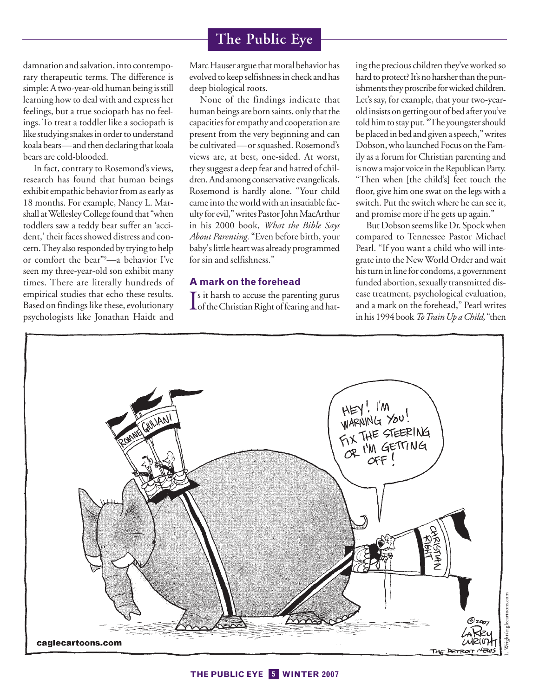damnation and salvation, into contemporary therapeutic terms. The difference is simple: A two-year-old human being is still learning how to deal with and express her feelings, but a true sociopath has no feelings. To treat a toddler like a sociopath is like studying snakes in order to understand koala bears—and then declaring that koala bears are cold-blooded.

In fact, contrary to Rosemond's views, research has found that human beings exhibit empathic behavior from as early as 18 months. For example, Nancy L. Marshall at Wellesley College found that "when toddlers saw a teddy bear suffer an 'accident,' their faces showed distress and concern. They also responded by trying to help or comfort the bear"9 —a behavior I've seen my three-year-old son exhibit many times. There are literally hundreds of empirical studies that echo these results. Based on findings like these, evolutionary psychologists like Jonathan Haidt and

Marc Hauser argue that moral behavior has evolved to keep selfishness in check and has deep biological roots.

None of the findings indicate that human beings are born saints, only that the capacities for empathy and cooperation are present from the very beginning and can be cultivated—or squashed. Rosemond's views are, at best, one-sided. At worst, they suggest a deep fear and hatred of children. And among conservative evangelicals, Rosemond is hardly alone. "Your child came into the world with an insatiable faculty for evil," writes Pastor John MacArthur in his 2000 book, *What the Bible Says About Parenting.* "Even before birth, your baby's little heart was already programmed for sin and selfishness."

## **A mark on the forehead**

Is it harsh to accuse the parenting gurus<br>of the Christian Right of fearing and hat- $\mathsf{T}$ s it harsh to accuse the parenting gurus ing the precious children they've worked so hard to protect? It's no harsher than the punishments they proscribe for wicked children. Let's say, for example, that your two-yearold insists on getting out of bed after you've told him to stay put. "The youngster should be placed in bed and given a speech," writes Dobson, who launched Focus on the Family as a forum for Christian parenting and is now a major voice in the Republican Party. "Then when [the child's] feet touch the floor, give him one swat on the legs with a switch. Put the switch where he can see it, and promise more if he gets up again."

But Dobson seems like Dr. Spock when compared to Tennessee Pastor Michael Pearl. "If you want a child who will integrate into the New World Order and wait his turn in line for condoms, a government funded abortion, sexually transmitted disease treatment, psychological evaluation, and a mark on the forehead," Pearl writes in his 1994 book *To Train Up a Child,* "then

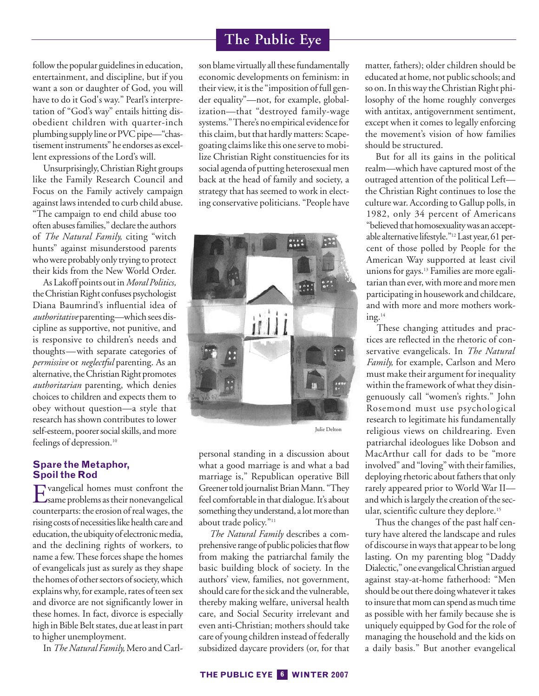follow the popular guidelines in education, entertainment, and discipline, but if you want a son or daughter of God, you will have to do it God's way." Pearl's interpretation of "God's way" entails hitting disobedient children with quarter-inch plumbing supply line or PVC pipe—"chastisement instruments" he endorses as excellent expressions of the Lord's will.

Unsurprisingly, Christian Right groups like the Family Research Council and Focus on the Family actively campaign against laws intended to curb child abuse. "The campaign to end child abuse too often abuses families," declare the authors of *The Natural Family,* citing "witch hunts" against misunderstood parents who were probably only trying to protect their kids from the New World Order.

As Lakoff points out in *Moral Politics,* the Christian Right confuses psychologist Diana Baumrind's influential idea of *authoritative* parenting—which sees discipline as supportive, not punitive, and is responsive to children's needs and thoughts—with separate categories of *permissive* or *neglectful* parenting. As an alternative, the Christian Right promotes *authoritarian* parenting, which denies choices to children and expects them to obey without question—a style that research has shown contributes to lower self-esteem, poorer social skills, and more feelings of depression.<sup>10</sup>

## **Spare the Metaphor, Spoil the Rod**

Evangelical homes must confront the same problems as their nonevangelical counterparts: the erosion of real wages, the rising costs of necessities like health care and education, the ubiquity of electronic media, and the declining rights of workers, to name a few. These forces shape the homes of evangelicals just as surely as they shape the homes of other sectors of society, which explains why, for example, rates of teen sex and divorce are not significantly lower in these homes. In fact, divorce is especially high in Bible Belt states, due at least in part to higher unemployment.

In *The Natural Family,* Mero and Carl-

## **The Public Eye**

son blame virtually all these fundamentally economic developments on feminism: in their view, it is the "imposition of full gender equality"—not, for example, globalization—that "destroyed family-wage systems." There's no empirical evidence for this claim, but that hardly matters: Scapegoating claims like this one serve to mobilize Christian Right constituencies for its social agenda of putting heterosexual men back at the head of family and society, a strategy that has seemed to work in electing conservative politicians. "People have



Julie Delton

personal standing in a discussion about what a good marriage is and what a bad marriage is," Republican operative Bill Greener told journalist Brian Mann. "They feel comfortable in that dialogue. It's about something they understand, a lot more than about trade policy."<sup>11</sup>

*The Natural Family* describes a comprehensive range of public policies that flow from making the patriarchal family the basic building block of society. In the authors' view, families, not government, should care for the sick and the vulnerable, thereby making welfare, universal health care, and Social Security irrelevant and even anti-Christian; mothers should take care of young children instead of federally subsidized daycare providers (or, for that matter, fathers); older children should be educated at home, not public schools; and so on. In this way the Christian Right philosophy of the home roughly converges with antitax, antigovernment sentiment, except when it comes to legally enforcing the movement's vision of how families should be structured.

But for all its gains in the political realm—which have captured most of the outraged attention of the political Left the Christian Right continues to lose the culture war. According to Gallup polls, in 1982, only 34 percent of Americans "believed that homosexuality was an acceptable alternative lifestyle."<sup>12</sup> Last year, 61 percent of those polled by People for the American Way supported at least civil unions for gays.<sup>13</sup> Families are more egalitarian than ever, with more and more men participating in housework and childcare, and with more and more mothers work $ing.<sup>14</sup>$ 

These changing attitudes and practices are reflected in the rhetoric of conservative evangelicals. In *The Natural Family,* for example, Carlson and Mero must make their argument for inequality within the framework of what they disingenuously call "women's rights." John Rosemond must use psychological research to legitimate his fundamentally religious views on childrearing. Even patriarchal ideologues like Dobson and MacArthur call for dads to be "more involved" and "loving" with their families, deploying rhetoric about fathers that only rarely appeared prior to World War II and which is largely the creation of the secular, scientific culture they deplore.<sup>15</sup>

Thus the changes of the past half century have altered the landscape and rules of discourse in ways that appear to be long lasting. On my parenting blog "Daddy Dialectic," one evangelical Christian argued against stay-at-home fatherhood: "Men should be out there doing whatever it takes to insure that mom can spend as much time as possible with her family because she is uniquely equipped by God for the role of managing the household and the kids on a daily basis." But another evangelical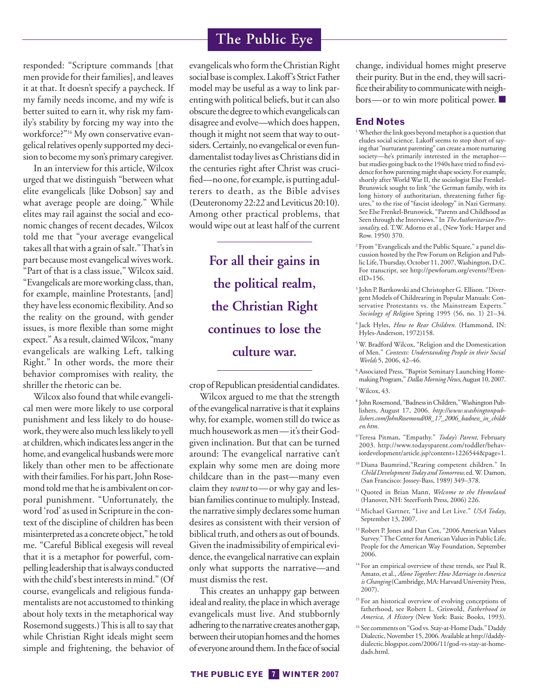responded: "Scripture commands [that men provide for their families], and leaves it at that. It doesn't specify a paycheck. If my family needs income, and my wife is better suited to earn it, why risk my family's stability by forcing my way into the workforce?"16 My own conservative evangelical relatives openly supported my decision to become my son's primary caregiver.

In an interview for this article, Wilcox urged that we distinguish "between what elite evangelicals [like Dobson] say and what average people are doing." While elites may rail against the social and economic changes of recent decades, Wilcox told me that "your average evangelical takes all that with a grain of salt." That's in part because most evangelical wives work. "Part of that is a class issue," Wilcox said. "Evangelicals are more working class, than, for example, mainline Protestants, [and] they have less economic flexibility. And so the reality on the ground, with gender issues, is more flexible than some might expect." As a result, claimed Wilcox, "many evangelicals are walking Left, talking Right." In other words, the more their behavior compromises with reality, the shriller the rhetoric can be.

Wilcox also found that while evangelical men were more likely to use corporal punishment and less likely to do housework, they were also much less likely to yell at children, which indicates less anger in the home, and evangelical husbands were more likely than other men to be affectionate with their families. For his part, John Rosemond told me that he is ambivalent on corporal punishment. "Unfortunately, the word 'rod' as used in Scripture in the context of the discipline of children has been misinterpreted as a concrete object," he told me. "Careful Biblical exegesis will reveal that it is a metaphor for powerful, compelling leadership that is always conducted with the child's best interests in mind." (Of course, evangelicals and religious fundamentalists are not accustomed to thinking about holy texts in the metaphorical way Rosemond suggests.) This is all to say that while Christian Right ideals might seem simple and frightening, the behavior of

## **The Public Eye**

evangelicals who form the Christian Right social base is complex. Lakoff's Strict Father model may be useful as a way to link parenting with political beliefs, but it can also obscure the degree to which evangelicals can disagree and evolve—which does happen, though it might not seem that way to outsiders. Certainly, no evangelical or even fundamentalist today lives as Christians did in the centuries right after Christ was crucified—no one, for example, is putting adulterers to death, as the Bible advises (Deuteronomy 22:22 and Leviticus 20:10). Among other practical problems, that would wipe out at least half of the current

> **For all their gains in the political realm, the Christian Right continues to lose the culture war.**

crop of Republican presidential candidates.

Wilcox argued to me that the strength of the evangelical narrative is that it explains why, for example, women still do twice as much housework as men—it's their Godgiven inclination. But that can be turned around: The evangelical narrative can't explain why some men are doing more childcare than in the past—many even claim they *want* to—or why gay and lesbian families continue to multiply. Instead, the narrative simply declares some human desires as consistent with their version of biblical truth, and others as out of bounds. Given the inadmissibility of empirical evidence, the evangelical narrative can explain only what supports the narrative—and must dismiss the rest.

This creates an unhappy gap between ideal and reality, the place in which average evangelicals must live. And stubbornly adhering to the narrative creates another gap, between their utopian homes and the homes of everyone around them. In the face of social change, individual homes might preserve their purity. But in the end, they will sacrifice their ability to communicate with neighbors—or to win more political power. ■

#### **End Notes**

- <sup>1</sup> Whether the link goes beyond metaphor is a question that eludes social science. Lakoff seems to stop short of saying that "nurturant parenting" can create a more nurturing society—he's primarily interested in the metaphor but studies going back to the 1940s have tried to find evidence for how parenting might shape society. For example, shortly after World War II, the sociologist Else Frenkel-Brunswick sought to link "the German family, with its long history of authoritarian, threatening father figures," to the rise of "fascist ideology" in Nazi Germany. See Else Frenkel-Brunswick, "Parents and Childhood as Seen through the Interviews." In *The Authoritarian Personality,* ed. T.W. Adorno et al., (New York: Harper and Row. 1950) 370.
- <sup>2</sup> From "Evangelicals and the Public Square," a panel discussion hosted by the Pew Forum on Religion and Public Life, Thursday, October 11, 2007, Washington, D.C. For transcript, see http://pewforum.org/events/?Even $tID=156$ .
- <sup>3</sup> John P. Bartkowski and Christopher G. Ellison. "Divergent Models of Childrearing in Popular Manuals: Conservative Protestants vs. the Mainstream Experts." *Sociology of Religion* Spring 1995 (56, no. 1) 21–34.
- <sup>4</sup> Jack Hyles, *How to Rear Children.* (Hammond, IN: Hyles-Anderson, 1972)158.
- <sup>5</sup> W. Bradford Wilcox, "Religion and the Domestication of Men." *Contexts: Understanding People in their Social Worlds* 5, 2006, 42–46.
- <sup>6</sup> Associated Press, "Baptist Seminary Launching Homemaking Program," *Dallas Morning News,*August 10, 2007.

<sup>7</sup> Wilcox, 43.

- <sup>8</sup> John Rosemond, "Badness in Children," Washington Publishers, August 17, 2006. *http://www.washingtonpublishers.com/JohnRosemond/08\_17\_2006\_badness\_in\_childr en.htm.*
- 9Teresa Pitman, "Empathy." *Today's Parent,* February 2003. http://www.todaysparent.com/toddler/behaviordevelopment/article.jsp?content=1226544&page=1.
- <sup>10</sup> Diana Baumrind,"Rearing competent children." In *Child Development Today and Tomorrow,*ed. W. Damon, (San Francisco: Jossey-Bass, 1989) 349–378.
- <sup>11</sup> Quoted in Brian Mann, *Welcome to the Homeland* (Hanover, NH: SteerForth Press, 2006) 226.
- <sup>12</sup> Michael Gartner, "Live and Let Live." *USA Today*, September 13, 2007.
- <sup>13</sup> Robert P. Jones and Dan Cox, "2006 American Values Survey." The Center for American Values in Public Life, People for the American Way Foundation, September 2006.
- <sup>14</sup> For an empirical overview of these trends, see Paul R. Amato, et al., *Alone Together: How Marriage in America is Changing*(Cambridge, MA: Harvard University Press, 2007).
- <sup>15</sup> For an historical overview of evolving conceptions of fatherhood, see Robert L. Griswold, *Fatherhood in America, A History* (New York: Basic Books, 1993).
- <sup>16</sup> See comments on "God vs. Stay-at-Home Dads." Daddy Dialectic, November 15, 2006. Available at http://daddydialectic.blogspot.com/2006/11/god-vs-stay-at-homedads.html.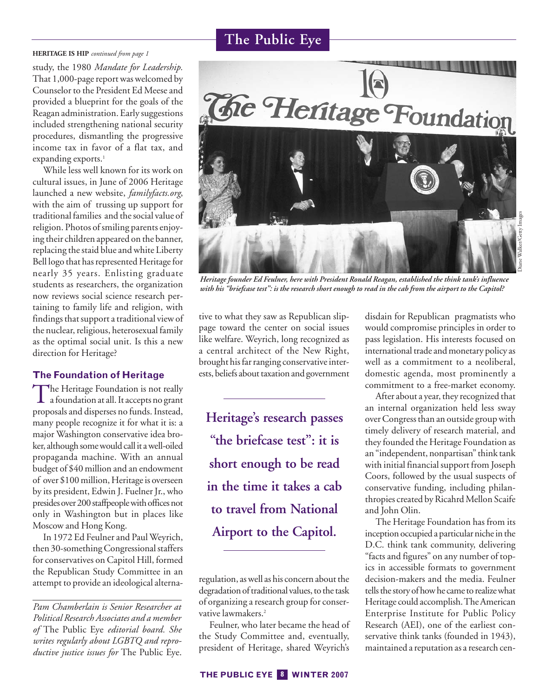#### **HERITAGE IS HIP** *continued from page 1*

study, the 1980 *Mandate for Leadership.* That 1,000-page report was welcomed by Counselor to the President Ed Meese and provided a blueprint for the goals of the Reagan administration. Early suggestions included strengthening national security procedures, dismantling the progressive income tax in favor of a flat tax, and expanding exports.<sup>1</sup>

While less well known for its work on cultural issues, in June of 2006 Heritage launched a new website, *familyfacts.org*, with the aim of trussing up support for traditional families and the social value of religion. Photos of smiling parents enjoying their children appeared on the banner, replacing the staid blue and white Liberty Bell logo that has represented Heritage for nearly 35 years. Enlisting graduate students as researchers, the organization now reviews social science research pertaining to family life and religion, with findings that support a traditional view of the nuclear, religious, heterosexual family as the optimal social unit. Is this a new direction for Heritage?

#### **The Foundation of Heritage**

The Heritage Foundation is not really<br>a foundation at all. It accepts no grant proposals and disperses no funds. Instead, many people recognize it for what it is: a major Washington conservative idea broker, although some would call it a well-oiled propaganda machine. With an annual budget of \$40 million and an endowment of over \$100 million, Heritage is overseen by its president, Edwin J. Fuelner Jr., who presides over 200 staffpeople with offices not only in Washington but in places like Moscow and Hong Kong.

In 1972 Ed Feulner and Paul Weyrich, then 30-something Congressional staffers for conservatives on Capitol Hill, formed the Republican Study Committee in an attempt to provide an ideological alterna-



*Heritage founder Ed Feulner, here with President Ronald Reagan, established the think tank's influence with his "briefcase test": is the research short enough to read in the cab from the airport to the Capitol?* 

tive to what they saw as Republican slippage toward the center on social issues like welfare. Weyrich, long recognized as a central architect of the New Right, brought his far ranging conservative interests, beliefs about taxation and government

**Heritage's research passes "the briefcase test": it is short enough to be read in the time it takes a cab to travel from National Airport to the Capitol.**

regulation, as well as his concern about the degradation of traditional values, to the task of organizing a research group for conservative lawmakers.<sup>2</sup>

Feulner, who later became the head of the Study Committee and, eventually, president of Heritage, shared Weyrich's

disdain for Republican pragmatists who would compromise principles in order to pass legislation. His interests focused on international trade and monetary policy as well as a commitment to a neoliberal, domestic agenda, most prominently a commitment to a free-market economy.

After about a year, they recognized that an internal organization held less sway over Congress than an outside group with timely delivery of research material, and they founded the Heritage Foundation as an "independent, nonpartisan" think tank with initial financial support from Joseph Coors, followed by the usual suspects of conservative funding, including philanthropies created by Ricahrd Mellon Scaife and John Olin.

The Heritage Foundation has from its inception occupied a particular niche in the D.C. think tank community, delivering "facts and figures" on any number of topics in accessible formats to government decision-makers and the media. Feulner tells the story of how he came to realize what Heritage could accomplish. The American Enterprise Institute for Public Policy Research (AEI), one of the earliest conservative think tanks (founded in 1943), maintained a reputation as a research cen-

*Pam Chamberlain is Senior Researcher at Political Research Associates and a member of* The Public Eye *editorial board. She writes regularly about LGBTQ and reproductive justice issues for* The Public Eye.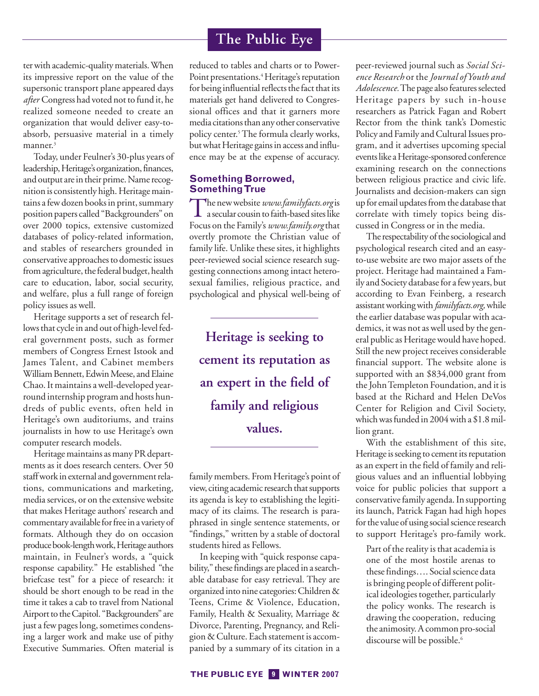ter with academic-quality materials. When its impressive report on the value of the supersonic transport plane appeared days *after* Congress had voted not to fund it, he realized someone needed to create an organization that would deliver easy-toabsorb, persuasive material in a timely manner.<sup>3</sup>

Today, under Feulner's 30-plus years of leadership, Heritage's organization, finances, and output are in their prime. Name recognition is consistently high. Heritage maintains a few dozen books in print, summary position papers called "Backgrounders" on over 2000 topics, extensive customized databases of policy-related information, and stables of researchers grounded in conservative approaches to domestic issues from agriculture, the federal budget, health care to education, labor, social security, and welfare, plus a full range of foreign policy issues as well.

Heritage supports a set of research fellows that cycle in and out of high-level federal government posts, such as former members of Congress Ernest Istook and James Talent, and Cabinet members William Bennett, Edwin Meese, and Elaine Chao. It maintains a well-developed yearround internship program and hosts hundreds of public events, often held in Heritage's own auditoriums, and trains journalists in how to use Heritage's own computer research models.

Heritage maintains as many PR departments as it does research centers. Over 50 staff work in external and government relations, communications and marketing, media services, or on the extensive website that makes Heritage authors' research and commentary available for free in a variety of formats. Although they do on occasion produce book-length work, Heritage authors maintain, in Feulner's words, a "quick response capability." He established "the briefcase test" for a piece of research: it should be short enough to be read in the time it takes a cab to travel from National Airport to the Capitol. "Backgrounders" are just a few pages long, sometimes condensing a larger work and make use of pithy Executive Summaries. Often material is

## **The Public Eye**

reduced to tables and charts or to Power-Point presentations.<sup>4</sup> Heritage's reputation for being influential reflects the fact that its materials get hand delivered to Congressional offices and that it garners more media citations than any other conservative policy center.<sup>5</sup> The formula clearly works, but what Heritage gains in access and influence may be at the expense of accuracy.

## **Something Borrowed, Something True**

The new website *www.familyfacts.org*is a secular cousin to faith-based sites like Focus on the Family's *www.family.org*that overtly promote the Christian value of family life. Unlike these sites, it highlights peer-reviewed social science research suggesting connections among intact heterosexual families, religious practice, and psychological and physical well-being of

**Heritage is seeking to cement its reputation as an expert in the field of family and religious values.**

family members. From Heritage's point of view, citing academic research that supports its agenda is key to establishing the legitimacy of its claims. The research is paraphrased in single sentence statements, or "findings," written by a stable of doctoral students hired as Fellows.

In keeping with "quick response capability," these findings are placed in a searchable database for easy retrieval. They are organized into nine categories: Children & Teens, Crime & Violence, Education, Family, Health & Sexuality, Marriage & Divorce, Parenting, Pregnancy, and Religion & Culture. Each statement is accompanied by a summary of its citation in a peer-reviewed journal such as *Social Science Research* or the*Journal of Youth and Adolescence.*The page also features selected Heritage papers by such in-house researchers as Patrick Fagan and Robert Rector from the think tank's Domestic Policy and Family and Cultural Issues program, and it advertises upcoming special events like a Heritage-sponsored conference examining research on the connections between religious practice and civic life. Journalists and decision-makers can sign up for email updates from the database that correlate with timely topics being discussed in Congress or in the media.

The respectability of the sociological and psychological research cited and an easyto-use website are two major assets of the project. Heritage had maintained a Family and Society database for a few years, but according to Evan Feinberg, a research assistant working with *familyfacts.org,*while the earlier database was popular with academics, it was not as well used by the general public as Heritage would have hoped. Still the new project receives considerable financial support. The website alone is supported with an \$834,000 grant from the John Templeton Foundation, and it is based at the Richard and Helen DeVos Center for Religion and Civil Society, which was funded in 2004 with a \$1.8 million grant.

With the establishment of this site, Heritage is seeking to cement its reputation as an expert in the field of family and religious values and an influential lobbying voice for public policies that support a conservative family agenda. In supporting its launch, Patrick Fagan had high hopes for the value of using social science research to support Heritage's pro-family work.

Part of the reality is that academia is one of the most hostile arenas to these findings…. Social science data is bringing people of different political ideologies together, particularly the policy wonks. The research is drawing the cooperation, reducing the animosity. A common pro-social discourse will be possible.<sup>6</sup>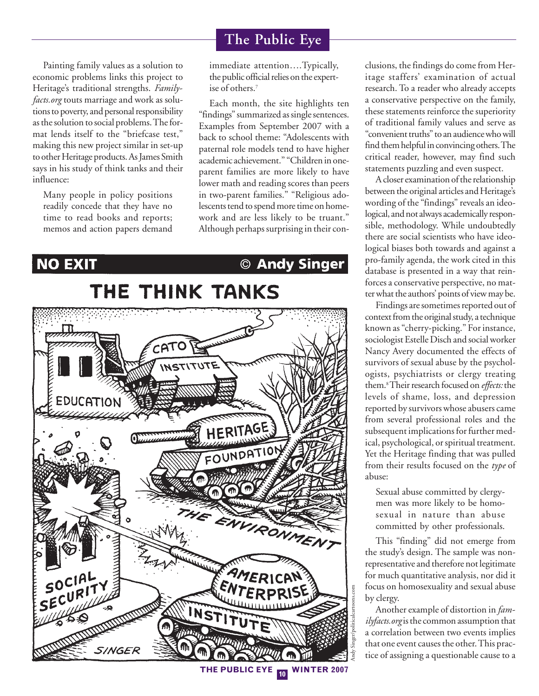Painting family values as a solution to economic problems links this project to Heritage's traditional strengths. *Familyfacts.org* touts marriage and work as solutions to poverty, and personal responsibility as the solution to social problems. The format lends itself to the "briefcase test," making this new project similar in set-up to other Heritage products. As James Smith says in his study of think tanks and their influence:

Many people in policy positions readily concede that they have no time to read books and reports; memos and action papers demand

immediate attention….Typically, the public official relies on the expertise of others.7

Each month, the site highlights ten "findings" summarized as single sentences. Examples from September 2007 with a back to school theme: "Adolescents with paternal role models tend to have higher academic achievement." "Children in oneparent families are more likely to have lower math and reading scores than peers in two-parent families." "Religious adolescents tend to spend more time on homework and are less likely to be truant." Although perhaps surprising in their con-

## **NO EXIT** © Andy Singer

THE THINK TANKS



clusions, the findings do come from Heritage staffers' examination of actual research. To a reader who already accepts a conservative perspective on the family, these statements reinforce the superiority of traditional family values and serve as "convenient truths" to an audience who will find them helpful in convincing others. The critical reader, however, may find such statements puzzling and even suspect.

A closer examination of the relationship between the original articles and Heritage's wording of the "findings" reveals an ideological, and not always academically responsible, methodology. While undoubtedly there are social scientists who have ideological biases both towards and against a pro-family agenda, the work cited in this database is presented in a way that reinforces a conservative perspective, no matter what the authors' points of view may be.

Findings are sometimes reported out of context from the original study, a technique known as "cherry-picking." For instance, sociologist Estelle Disch and social worker Nancy Avery documented the effects of survivors of sexual abuse by the psychologists, psychiatrists or clergy treating them.8Their research focused on *effects:*the levels of shame, loss, and depression reported by survivors whose abusers came from several professional roles and the subsequent implications for further medical, psychological, or spiritual treatment. Yet the Heritage finding that was pulled from their results focused on the *type* of abuse:

Sexual abuse committed by clergymen was more likely to be homosexual in nature than abuse committed by other professionals.

This "finding" did not emerge from the study's design. The sample was nonrepresentative and therefore not legitimate for much quantitative analysis, nor did it focus on homosexuality and sexual abuse by clergy.

Another example of distortion in *familyfacts.org*is the common assumption that a correlation between two events implies that one event causes the other. This practice of assigning a questionable cause to a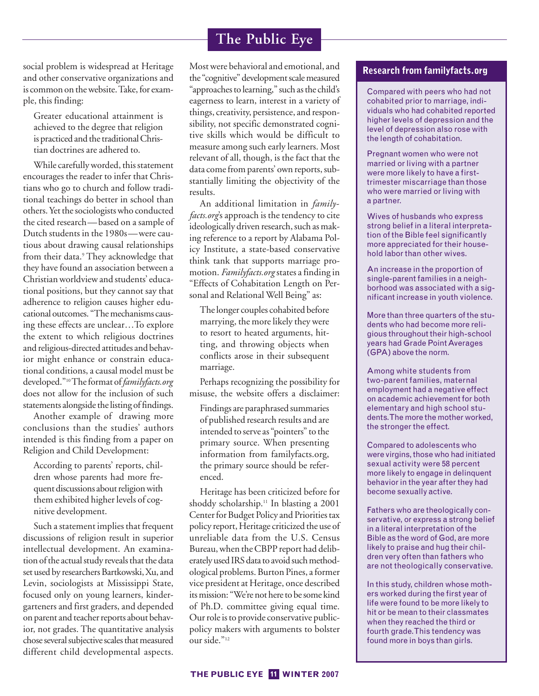social problem is widespread at Heritage and other conservative organizations and is common on the website. Take, for example, this finding:

Greater educational attainment is achieved to the degree that religion is practiced and the traditional Christian doctrines are adhered to.

While carefully worded, this statement encourages the reader to infer that Christians who go to church and follow traditional teachings do better in school than others. Yet the sociologists who conducted the cited research—based on a sample of Dutch students in the 1980s—were cautious about drawing causal relationships from their data.<sup>9</sup> They acknowledge that they have found an association between a Christian worldview and students' educational positions, but they cannot say that adherence to religion causes higher educational outcomes. "The mechanisms causing these effects are unclear…To explore the extent to which religious doctrines and religious-directed attitudes and behavior might enhance or constrain educational conditions, a causal model must be developed."10The format of*familyfacts.org* does not allow for the inclusion of such statements alongside the listing of findings.

Another example of drawing more conclusions than the studies' authors intended is this finding from a paper on Religion and Child Development:

According to parents' reports, children whose parents had more frequent discussions about religion with them exhibited higher levels of cognitive development.

Such a statement implies that frequent discussions of religion result in superior intellectual development. An examination of the actual study reveals that the data set used by researchers Bartkowski, Xu, and Levin, sociologists at Mississippi State, focused only on young learners, kindergarteners and first graders, and depended on parent and teacher reports about behavior, not grades. The quantitative analysis chose several subjective scales that measured different child developmental aspects.

Most were behavioral and emotional, and the "cognitive" development scale measured "approaches to learning," such as the child's eagerness to learn, interest in a variety of things, creativity, persistence, and responsibility, not specific demonstrated cognitive skills which would be difficult to measure among such early learners. Most relevant of all, though, is the fact that the data come from parents' own reports, substantially limiting the objectivity of the results.

An additional limitation in *familyfacts.org*'s approach is the tendency to cite ideologically driven research, such as making reference to a report by Alabama Policy Institute, a state-based conservative think tank that supports marriage promotion. *Familyfacts.org* states a finding in "Effects of Cohabitation Length on Personal and Relational Well Being" as:

The longer couples cohabited before marrying, the more likely they were to resort to heated arguments, hitting, and throwing objects when conflicts arose in their subsequent marriage.

Perhaps recognizing the possibility for misuse, the website offers a disclaimer:

Findings are paraphrased summaries of published research results and are intended to serve as "pointers" to the primary source. When presenting information from familyfacts.org, the primary source should be referenced.

Heritage has been criticized before for shoddy scholarship.<sup>11</sup> In blasting a 2001 Center for Budget Policy and Priorities tax policy report, Heritage criticized the use of unreliable data from the U.S. Census Bureau, when the CBPP report had deliberately used IRS data to avoid such methodological problems. Burton Pines, a former vice president at Heritage, once described its mission: "We're not here to be some kind of Ph.D. committee giving equal time. Our role is to provide conservative publicpolicy makers with arguments to bolster our side."12

## **Research from familyfacts.org**

Compared with peers who had not cohabited prior to marriage, individuals who had cohabited reported higher levels of depression and the level of depression also rose with the length of cohabitation.

Pregnant women who were not married or living with a partner were more likely to have a firsttrimester miscarriage than those who were married or living with a partner.

Wives of husbands who express strong belief in a literal interpretation of the Bible feel significantly more appreciated for their household labor than other wives.

An increase in the proportion of single-parent families in a neighborhood was associated with a significant increase in youth violence.

More than three quarters of the students who had become more religious throughout their high-school years had Grade Point Averages (GPA) above the norm.

Among white students from two-parent families, maternal employment had a negative effect on academic achievement for both elementary and high school students. The more the mother worked, the stronger the effect.

Compared to adolescents who were virgins, those who had initiated sexual activity were 58 percent more likely to engage in delinquent behavior in the year after they had become sexually active.

Fathers who are theologically conservative, or express a strong belief in a literal interpretation of the Bible as the word of God, are more likely to praise and hug their children very often than fathers who are not theologically conservative.

In this study, children whose mothers worked during the first year of life were found to be more likely to hit or be mean to their classmates when they reached the third or fourth grade. This tendency was found more in boys than girls.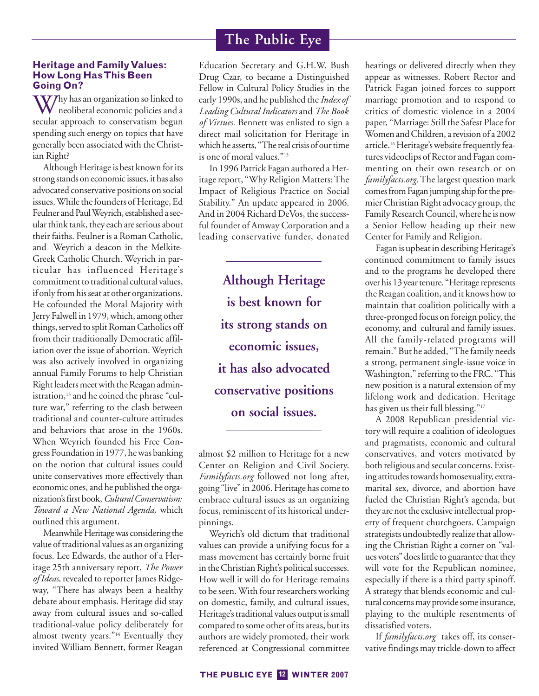## **Heritage and Family Values: How Long Has This Been Going On?**

 $\bf W$ 7hy has an organization so linked to neoliberal economic policies and a secular approach to conservatism begun spending such energy on topics that have generally been associated with the Christian Right?

Although Heritage is best known for its strong stands on economic issues, it has also advocated conservative positions on social issues. While the founders of Heritage, Ed Feulner and Paul Weyrich, established a secular think tank, they each are serious about their faiths. Feulner is a Roman Catholic, and Weyrich a deacon in the Melkite-Greek Catholic Church. Weyrich in particular has influenced Heritage's commitment to traditional cultural values, if only from his seat at other organizations. He cofounded the Moral Majority with Jerry Falwell in 1979, which, among other things, served to split Roman Catholics off from their traditionally Democratic affiliation over the issue of abortion. Weyrich was also actively involved in organizing annual Family Forums to help Christian Right leaders meet with the Reagan administration,<sup>13</sup> and he coined the phrase "culture war," referring to the clash between traditional and counter-culture attitudes and behaviors that arose in the 1960s. When Weyrich founded his Free Congress Foundation in 1977, he was banking on the notion that cultural issues could unite conservatives more effectively than economic ones, and he published the organization's first book, *Cultural Conservatism: Toward a New National Agenda,* which outlined this argument.

Meanwhile Heritage was considering the value of traditional values as an organizing focus. Lee Edwards, the author of a Heritage 25th anniversary report, *The Power* of Ideas, revealed to reporter James Ridgeway, "There has always been a healthy debate about emphasis. Heritage did stay away from cultural issues and so-called traditional-value policy deliberately for almost twenty years."14 Eventually they invited William Bennett, former Reagan

Education Secretary and G.H.W. Bush Drug Czar, to became a Distinguished Fellow in Cultural Policy Studies in the early 1990s, and he published the *Index of Leading Cultural Indicators* and *The Book of Virtues.* Bennett was enlisted to sign a direct mail solicitation for Heritage in which he asserts, "The real crisis of our time is one of moral values."<sup>15</sup>

In 1996 Patrick Fagan authored a Heritage report, "Why Religion Matters: The Impact of Religious Practice on Social Stability." An update appeared in 2006. And in 2004 Richard DeVos, the successful founder of Amway Corporation and a leading conservative funder, donated

> **Although Heritage is best known for its strong stands on economic issues, it has also advocated conservative positions on social issues.**

almost \$2 million to Heritage for a new Center on Religion and Civil Society. *Familyfacts.org* followed not long after, going "live" in 2006. Heritage has come to embrace cultural issues as an organizing focus, reminiscent of its historical underpinnings.

Weyrich's old dictum that traditional values can provide a unifying focus for a mass movement has certainly borne fruit in the Christian Right's political successes. How well it will do for Heritage remains to be seen. With four researchers working on domestic, family, and cultural issues, Heritage's traditional values output is small compared to some other of its areas, but its authors are widely promoted, their work referenced at Congressional committee hearings or delivered directly when they appear as witnesses. Robert Rector and Patrick Fagan joined forces to support marriage promotion and to respond to critics of domestic violence in a 2004 paper, "Marriage: Still the Safest Place for Women and Children, a revision of a 2002 article.16 Heritage's website frequently features videoclips of Rector and Fagan commenting on their own research or on *familyfacts.org.*The largest question mark comes from Fagan jumping ship for the premier Christian Right advocacy group, the Family Research Council, where he is now a Senior Fellow heading up their new Center for Family and Religion.

Fagan is upbeat in describing Heritage's continued commitment to family issues and to the programs he developed there over his 13 year tenure. "Heritage represents the Reagan coalition, and it knows how to maintain that coalition politically with a three-pronged focus on foreign policy, the economy, and cultural and family issues. All the family-related programs will remain." But he added, "The family needs a strong, permanent single-issue voice in Washington," referring to the FRC. "This new position is a natural extension of my lifelong work and dedication. Heritage has given us their full blessing."<sup>17</sup>

A 2008 Republican presidential victory will require a coalition of ideologues and pragmatists, economic and cultural conservatives, and voters motivated by both religious and secular concerns. Existing attitudes towards homosexuality, extramarital sex, divorce, and abortion have fueled the Christian Right's agenda, but they are not the exclusive intellectual property of frequent churchgoers. Campaign strategists undoubtedly realize that allowing the Christian Right a corner on "values voters" does little to guarantee that they will vote for the Republican nominee, especially if there is a third party spinoff. A strategy that blends economic and cultural concerns may provide some insurance, playing to the multiple resentments of dissatisfied voters.

If *familyfacts.org* takes off, its conservative findings may trickle-down to affect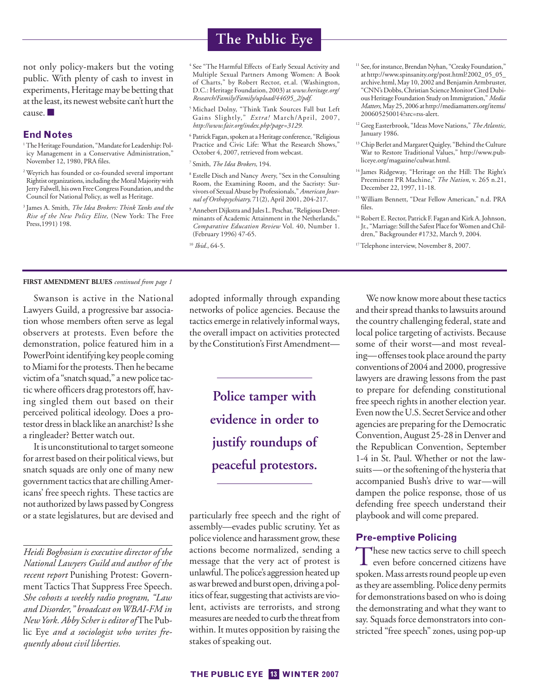not only policy-makers but the voting public. With plenty of cash to invest in experiments, Heritage may be betting that at the least, its newest website can't hurt the cause. ■

#### **End Notes**

- <sup>1</sup>The Heritage Foundation, "Mandate for Leadership: Policy Management in a Conservative Administration," November 12, 1980, PRA files.
- <sup>2</sup> Weyrich has founded or co-founded several important Rightist organizations, including the Moral Majority with Jerry Falwell, his own Free Congress Foundation, and the Council for National Policy, as well as Heritage.
- <sup>3</sup> James A. Smith, *The Idea Brokers: Think Tanks and the Rise of the New Policy Elite,* (New York: The Free Press,1991) 198.

## **The Public Eye**

<sup>4</sup> See "The Harmful Effects of Early Sexual Activity and Multiple Sexual Partners Among Women: A Book of Charts," by Robert Rector, et.al. (Washington, D.C.: Heritage Foundation, 2003) at *www.heritage.org/ Research/Family/Family/upload/44695\_2/pdf.*

- <sup>5</sup> Michael Dolny, "Think Tank Sources Fall but Left Gains Slightly," *Extra!* March/April, 2007, *http://www.fair.org/index.php?page=3129.*
- <sup>6</sup> Patrick Fagan, spoken at a Heritage conference, "Religious Practice and Civic Life: What the Research Shows," October 4, 2007, retrieved from webcast.
- <sup>7</sup> Smith, *The Idea Brokers,* 194.
- <sup>8</sup> Estelle Disch and Nancy Avery, "Sex in the Consulting Room, the Examining Room, and the Sacristy: Survivors of Sexual Abuse by Professionals," *American Journal of Orthopsychiatry,* 71(2), April 2001, 204-217.
- <sup>9</sup> Annebert Dijkstra and Jules L. Peschar, "Religious Determinants of Academic Attainment in the Netherlands," *Comparative Education Review* Vol. 40, Number 1. (February 1996) 47-65.

<sup>10</sup> *Ibid.*, 64-5.

- <sup>11</sup> See, for instance, Brendan Nyhan, "Creaky Foundation," at http://www.spinsanity.org/post.html?2002\_05\_05\_ archive.html, May 10, 2002 and Benjamin Armbruster, "CNN's Dobbs, Christian Science Monitor Cited Dubious Heritage Foundation Study on Immigration," *Media Matters*, May 25, 2006 at http://mediamatters.org/items/ 200605250014?src=rss-alert.
- <sup>12</sup> Greg Easterbrook, "Ideas Move Nations," *The Atlantic,* January 1986.
- <sup>13</sup> Chip Berlet and Margaret Quigley, "Behind the Culture War to Restore Traditional Values," http://www.publiceye.org/magazine/culwar.html.
- <sup>14</sup> James Ridgeway, "Heritage on the Hill: The Right's Preeminent PR Machine," *The Nation*, v. 265 n.21, December 22, 1997, 11-18.
- <sup>15</sup> William Bennett, "Dear Fellow American," n.d. PRA files.
- <sup>16</sup> Robert E. Rector, Patrick F. Fagan and Kirk A. Johnson, Jr., "Marriage: Still the Safest Place for Women and Children," Backgrounder #1732, March 9, 2004.
- <sup>17</sup>Telephone interview, November 8, 2007.

#### **FIRST AMENDMENT BLUES** *continued from page 1*

Swanson is active in the National Lawyers Guild, a progressive bar association whose members often serve as legal observers at protests. Even before the demonstration, police featured him in a PowerPoint identifying key people coming to Miami for the protests. Then he became victim of a "snatch squad," a new police tactic where officers drag protestors off, having singled them out based on their perceived political ideology. Does a protestor dress in black like an anarchist? Is she a ringleader? Better watch out.

It is unconstitutional to target someone for arrest based on their political views, but snatch squads are only one of many new government tactics that are chilling Americans' free speech rights. These tactics are not authorized by laws passed by Congress or a state legislatures, but are devised and

*Heidi Boghosian is executive director of the National Lawyers Guild and author of the recent report* Punishing Protest: Government Tactics That Suppress Free Speech. *She cohosts a weekly radio program, "Law and Disorder," broadcast on WBAI-FM in New York. Abby Scher is editor of* The Public Eye *and a sociologist who writes frequently about civil liberties.* 

adopted informally through expanding networks of police agencies. Because the tactics emerge in relatively informal ways, the overall impact on activities protected by the Constitution's First Amendment—

> **Police tamper with evidence in order to justify roundups of peaceful protestors.**

particularly free speech and the right of assembly—evades public scrutiny. Yet as police violence and harassment grow, these actions become normalized, sending a message that the very act of protest is unlawful. The police's aggression heated up as war brewed and burst open, driving a politics of fear, suggesting that activists are violent, activists are terrorists, and strong measures are needed to curb the threat from within. It mutes opposition by raising the stakes of speaking out.

We now know more about these tactics and their spread thanks to lawsuits around the country challenging federal, state and local police targeting of activists. Because some of their worst—and most revealing—offenses took place around the party conventions of 2004 and 2000, progressive lawyers are drawing lessons from the past to prepare for defending constitutional free speech rights in another election year. Even now the U.S. Secret Service and other agencies are preparing for the Democratic Convention, August 25-28 in Denver and the Republican Convention, September 1-4 in St. Paul. Whether or not the lawsuits—or the softening of the hysteria that accompanied Bush's drive to war—will dampen the police response, those of us defending free speech understand their playbook and will come prepared.

## **Pre-emptive Policing**

These new tactics serve to chill speech **L** even before concerned citizens have spoken. Mass arrests round people up even as they are assembling. Police deny permits for demonstrations based on who is doing the demonstrating and what they want to say. Squads force demonstrators into constricted "free speech" zones, using pop-up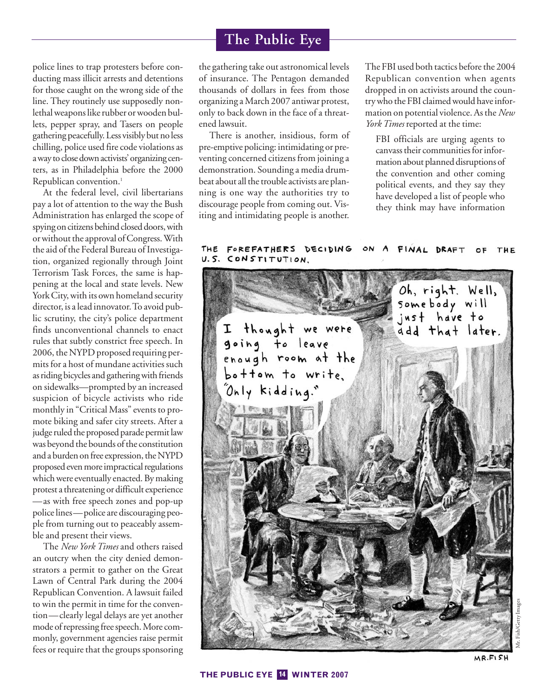police lines to trap protesters before conducting mass illicit arrests and detentions for those caught on the wrong side of the line. They routinely use supposedly nonlethal weapons like rubber or wooden bullets, pepper spray, and Tasers on people gathering peacefully. Less visibly but no less chilling, police used fire code violations as a way to close down activists' organizing centers, as in Philadelphia before the 2000 Republican convention.<sup>1</sup>

At the federal level, civil libertarians pay a lot of attention to the way the Bush Administration has enlarged the scope of spying on citizens behind closed doors, with or without the approval of Congress. With the aid of the Federal Bureau of Investigation, organized regionally through Joint Terrorism Task Forces, the same is happening at the local and state levels. New York City, with its own homeland security director, is a lead innovator. To avoid public scrutiny, the city's police department finds unconventional channels to enact rules that subtly constrict free speech. In 2006, the NYPD proposed requiring permits for a host of mundane activities such as riding bicycles and gathering with friends on sidewalks—prompted by an increased suspicion of bicycle activists who ride monthly in "Critical Mass" events to promote biking and safer city streets. After a judge ruled the proposed parade permit law was beyond the bounds of the constitution and a burden on free expression, the NYPD proposed even more impractical regulations which were eventually enacted. By making protest a threatening or difficult experience —as with free speech zones and pop-up police lines—police are discouraging people from turning out to peaceably assemble and present their views.

The *New York Times* and others raised an outcry when the city denied demonstrators a permit to gather on the Great Lawn of Central Park during the 2004 Republican Convention. A lawsuit failed to win the permit in time for the convention—clearly legal delays are yet another mode of repressing free speech. More commonly, government agencies raise permit fees or require that the groups sponsoring

the gathering take out astronomical levels of insurance. The Pentagon demanded thousands of dollars in fees from those organizing a March 2007 antiwar protest, only to back down in the face of a threatened lawsuit.

There is another, insidious, form of pre-emptive policing: intimidating or preventing concerned citizens from joining a demonstration. Sounding a media drumbeat about all the trouble activists are planning is one way the authorities try to discourage people from coming out. Visiting and intimidating people is another.

The FBI used both tactics before the 2004 Republican convention when agents dropped in on activists around the country who the FBI claimed would have information on potential violence. As the *New York Times* reported at the time:

FBI officials are urging agents to canvass their communities for information about planned disruptions of the convention and other coming political events, and they say they have developed a list of people who they think may have information

#### FOREFATHERS DECIDING THE FINAL **DRAFT** THE U.S. CONSTITUTION.

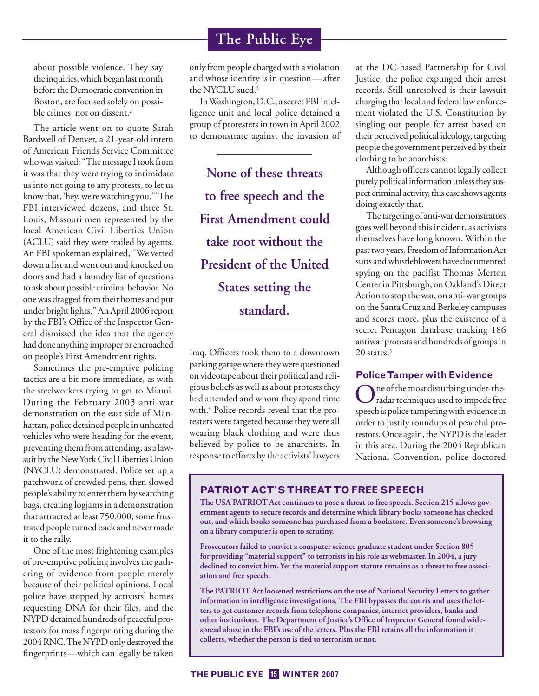about possible violence. They say the inquiries, which began last month before the Democratic convention in Boston, are focused solely on possible crimes, not on dissent.<sup>2</sup>

The article went on to quote Sarah Bardwell of Denver, a 21-year-old intern of American Friends Service Committee who was visited: "The message I took from it was that they were trying to intimidate us into not going to any protests, to let us know that, 'hey, we're watching you.'" The FBI interviewed dozens, and three St. Louis, Missouri men represented by the local American Civil Liberties Union (ACLU) said they were trailed by agents. An FBI spokeman explained, "We vetted down a list and went out and knocked on doors and had a laundry list of questions to ask about possible criminal behavior. No one was dragged from their homes and put under bright lights." An April 2006 report by the FBI's Office of the Inspector General dismissed the idea that the agency had done anything improper or encroached on people's First Amendment rights.

Sometimes the pre-emptive policing tactics are a bit more immediate, as with the steelworkers trying to get to Miami. During the February 2003 anti-war demonstration on the east side of Manhattan, police detained people in unheated vehicles who were heading for the event, preventing them from attending, as a lawsuit by the New York Civil Liberties Union (NYCLU) demonstrated. Police set up a patchwork of crowded pens, then slowed people's ability to enter them by searching bags, creating logjams in a demonstration that attracted at least 750,000; some frustrated people turned back and never made it to the rally.

One of the most frightening examples of pre-emptive policing involves the gathering of evidence from people merely because of their political opinions. Local police have stopped by activists' homes requesting DNA for their files, and the NYPD detained hundreds of peaceful protestors for mass fingerprinting during the 2004 RNC. The NYPD only destroyed the fingerprints—which can legally be taken

## **The Public Eye**

only from people charged with a violation and whose identity is in question—after the NYCLU sued.<sup>3</sup>

In Washington, D.C., a secret FBI intelligence unit and local police detained a group of protesters in town in April 2002 to demonstrate against the invasion of

**None of these threats to free speech and the First Amendment could take root without the President of the United States setting the standard.** 

Iraq. Officers took them to a downtown parking garage where they were questioned on videotape about their political and religious beliefs as well as about protests they had attended and whom they spend time with.<sup>4</sup> Police records reveal that the protesters were targeted because they were all wearing black clothing and were thus believed by police to be anarchists. In response to efforts by the activists' lawyers at the DC-based Partnership for Civil Justice, the police expunged their arrest records. Still unresolved is their lawsuit charging that local and federal law enforcement violated the U.S. Constitution by singling out people for arrest based on their perceived political ideology, targeting people the government perceived by their clothing to be anarchists.

Although officers cannot legally collect purely political information unless they suspect criminal activity, this case shows agents doing exactly that.

The targeting of anti-war demonstrators goes well beyond this incident, as activists themselves have long known. Within the past two years, Freedom of Information Act suits and whistleblowers have documented spying on the pacifist Thomas Merton Center in Pittsburgh, on Oakland's Direct Action to stop the war, on anti-war groups on the Santa Cruz and Berkeley campuses and scores more, plus the existence of a secret Pentagon database tracking 186 antiwar protests and hundreds of groups in 20 states.<sup>5</sup>

## **Police Tamper with Evidence**

One of the most disturbing under-the-radar techniques used to impede free speech is police tampering with evidence in order to justify roundups of peaceful protestors. Once again, the NYPD is the leader in this area. During the 2004 Republican National Convention, police doctored

## **PATRIOT ACT'S THREAT TO FREE SPEECH**

**The USA PATRIOT Act continues to pose a threat to free speech. Section 215 allows government agents to secure records and determine which library books someone has checked out, and which books someone has purchased from a bookstore. Even someone's browsing on a library computer is open to scrutiny.** 

**Prosecutors failed to convict a computer science graduate student under Section 805 for providing "material support" to terrorists in his role as webmaster. In 2004, a jury declined to convict him. Yet the material support statute remains as a threat to free association and free speech.** 

**The PATRIOT Act loosened restrictions on the use of National Security Letters to gather information in intelligence investigations. The FBI bypasses the courts and uses the letters to get customer records from telephone companies, internet providers, banks and other institutions. The Department of Justice's Office of Inspector General found widespread abuse in the FBI's use of the letters. Plus the FBI retains all the information it collects, whether the person is tied to terrorism or not.**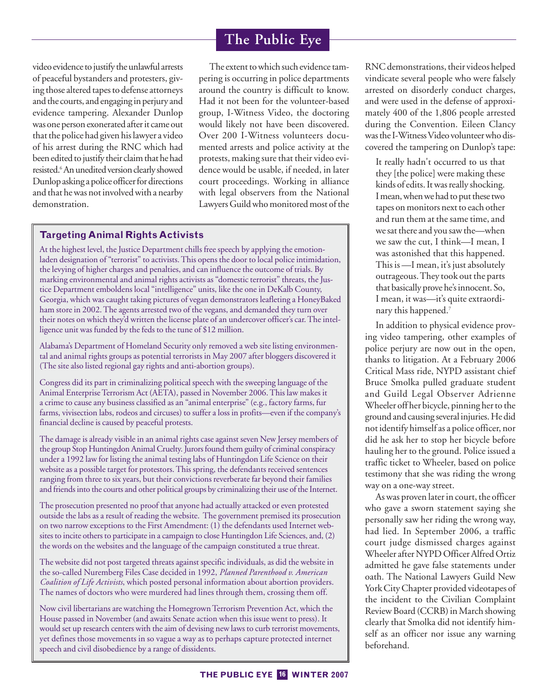video evidence to justify the unlawful arrests of peaceful bystanders and protesters, giving those altered tapes to defense attorneys and the courts, and engaging in perjury and evidence tampering. Alexander Dunlop was one person exonerated after it came out that the police had given his lawyer a video of his arrest during the RNC which had been edited to justify their claim that he had resisted.<sup>6</sup> An unedited version clearly showed Dunlop asking a police officer for directions and that he was not involved with a nearby demonstration.

The extent to which such evidence tampering is occurring in police departments around the country is difficult to know. Had it not been for the volunteer-based group, I-Witness Video, the doctoring would likely not have been discovered. Over 200 I-Witness volunteers documented arrests and police activity at the protests, making sure that their video evidence would be usable, if needed, in later court proceedings. Working in alliance with legal observers from the National Lawyers Guild who monitored most of the

## **Targeting Animal Rights Activists**

At the highest level, the Justice Department chills free speech by applying the emotionladen designation of "terrorist" to activists. This opens the door to local police intimidation, the levying of higher charges and penalties, and can influence the outcome of trials. By marking environmental and animal rights activists as "domestic terrorist" threats, the Justice Department emboldens local "intelligence" units, like the one in DeKalb County, Georgia, which was caught taking pictures of vegan demonstrators leafleting a HoneyBaked ham store in 2002. The agents arrested two of the vegans, and demanded they turn over their notes on which they'd written the license plate of an undercover officer's car. The intelligence unit was funded by the feds to the tune of \$12 million.

Alabama's Department of Homeland Security only removed a web site listing environmental and animal rights groups as potential terrorists in May 2007 after bloggers discovered it (The site also listed regional gay rights and anti-abortion groups).

Congress did its part in criminalizing political speech with the sweeping language of the Animal Enterprise Terrorism Act (AETA), passed in November 2006. This law makes it a crime to cause any business classified as an "animal enterprise" (e.g., factory farms, fur farms, vivisection labs, rodeos and circuses) to suffer a loss in profits—even if the company's financial decline is caused by peaceful protests.

The damage is already visible in an animal rights case against seven New Jersey members of the group Stop Huntingdon Animal Cruelty. Jurors found them guilty of criminal conspiracy under a 1992 law for listing the animal testing labs of Huntingdon Life Science on their website as a possible target for protestors. This spring, the defendants received sentences ranging from three to six years, but their convictions reverberate far beyond their families and friends into the courts and other political groups by criminalizing their use of the Internet.

The prosecution presented no proof that anyone had actually attacked or even protested outside the labs as a result of reading the website. The government premised its prosecution on two narrow exceptions to the First Amendment: (1) the defendants used Internet websites to incite others to participate in a campaign to close Huntingdon Life Sciences, and, (2) the words on the websites and the language of the campaign constituted a true threat.

The website did not post targeted threats against specific individuals, as did the website in the so-called Nuremberg Files Case decided in 1992, *Planned Parenthood v. American Coalition of Life Activists*, which posted personal information about abortion providers. The names of doctors who were murdered had lines through them, crossing them off.

Now civil libertarians are watching the Homegrown Terrorism Prevention Act, which the House passed in November (and awaits Senate action when this issue went to press). It would set up research centers with the aim of devising new laws to curb terrorist movements, yet defines those movements in so vague a way as to perhaps capture protected internet speech and civil disobedience by a range of dissidents.

RNC demonstrations, their videos helped vindicate several people who were falsely arrested on disorderly conduct charges, and were used in the defense of approximately 400 of the 1,806 people arrested during the Convention. Eileen Clancy was the I-Witness Video volunteer who discovered the tampering on Dunlop's tape:

It really hadn't occurred to us that they [the police] were making these kinds of edits. It was really shocking. I mean, when we had to put these two tapes on monitors next to each other and run them at the same time, and we sat there and you saw the—when we saw the cut, I think—I mean, I was astonished that this happened. This is —I mean, it's just absolutely outrageous. They took out the parts that basically prove he's innocent. So, I mean, it was—it's quite extraordinary this happened.<sup>7</sup>

In addition to physical evidence proving video tampering, other examples of police perjury are now out in the open, thanks to litigation. At a February 2006 Critical Mass ride, NYPD assistant chief Bruce Smolka pulled graduate student and Guild Legal Observer Adrienne Wheeler off her bicycle, pinning her to the ground and causing several injuries. He did not identify himself as a police officer, nor did he ask her to stop her bicycle before hauling her to the ground. Police issued a traffic ticket to Wheeler, based on police testimony that she was riding the wrong way on a one-way street.

As was proven later in court, the officer who gave a sworn statement saying she personally saw her riding the wrong way, had lied. In September 2006, a traffic court judge dismissed charges against Wheeler after NYPD Officer Alfred Ortiz admitted he gave false statements under oath. The National Lawyers Guild New York City Chapter provided videotapes of the incident to the Civilian Complaint Review Board (CCRB) in March showing clearly that Smolka did not identify himself as an officer nor issue any warning beforehand.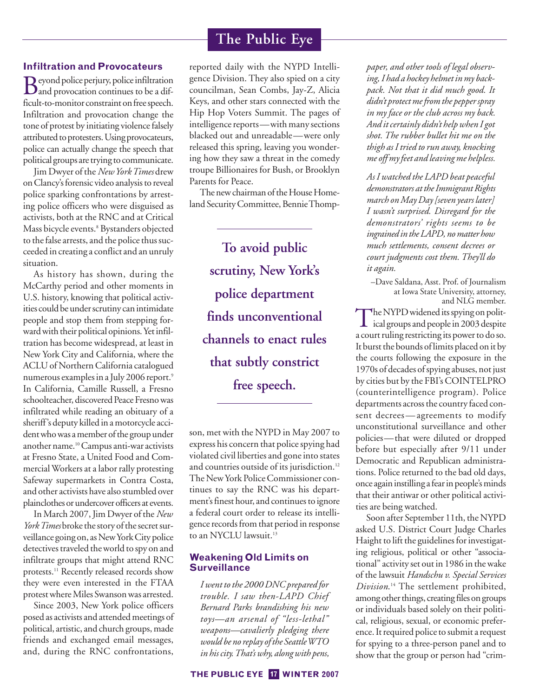## **Infiltration and Provocateurs**

Beyond police perjury, police infiltration and provocation continues to be a difficult-to-monitor constraint on free speech. Infiltration and provocation change the tone of protest by initiating violence falsely attributed to protesters. Using provocateurs, police can actually change the speech that political groups are trying to communicate.

Jim Dwyer of the *New York Times* drew on Clancy's forensic video analysis to reveal police sparking confrontations by arresting police officers who were disguised as activists, both at the RNC and at Critical Mass bicycle events.<sup>8</sup> Bystanders objected to the false arrests, and the police thus succeeded in creating a conflict and an unruly situation.

As history has shown, during the McCarthy period and other moments in U.S. history, knowing that political activities could be under scrutiny can intimidate people and stop them from stepping forward with their political opinions. Yet infiltration has become widespread, at least in New York City and California, where the ACLU of Northern California catalogued numerous examples in a July 2006 report.<sup>9</sup> In California, Camille Russell, a Fresno schoolteacher, discovered Peace Fresno was infiltrated while reading an obituary of a sheriff's deputy killed in a motorcycle accident who was a member of the group under another name.10Campus anti-war activists at Fresno State, a United Food and Commercial Workers at a labor rally protesting Safeway supermarkets in Contra Costa, and other activists have also stumbled over plainclothes or undercover officers at events.

In March 2007, Jim Dwyer of the *New York Times* broke the story of the secret surveillance going on, as New York City police detectives traveled the world to spy on and infiltrate groups that might attend RNC protests.<sup>11</sup> Recently released records show they were even interested in the FTAA protest where Miles Swanson was arrested.

Since 2003, New York police officers posed as activists and attended meetings of political, artistic, and church groups, made friends and exchanged email messages, and, during the RNC confrontations,

reported daily with the NYPD Intelligence Division. They also spied on a city councilman, Sean Combs, Jay-Z, Alicia Keys, and other stars connected with the Hip Hop Voters Summit. The pages of intelligence reports—with many sections blacked out and unreadable—were only released this spring, leaving you wondering how they saw a threat in the comedy troupe Billionaires for Bush, or Brooklyn Parents for Peace.

The new chairman of the House Homeland Security Committee, Bennie Thomp-

**To avoid public scrutiny, New York's police department finds unconventional channels to enact rules that subtly constrict free speech.**

son, met with the NYPD in May 2007 to express his concern that police spying had violated civil liberties and gone into states and countries outside of its jurisdiction.<sup>12</sup> The New York Police Commissioner continues to say the RNC was his department's finest hour, and continues to ignore a federal court order to release its intelligence records from that period in response to an NYCLU lawsuit.<sup>13</sup>

## **Weakening Old Limits on Surveillance**

*I went to the 2000 DNC prepared for trouble. I saw then-LAPD Chief Bernard Parks brandishing his new toys—an arsenal of "less-lethal" weapons—cavalierly pledging there would be no replay of the Seattle WTO in his city. That's why, along with pens,*

*paper, and other tools of legal observing, I had a hockey helmet in my backpack. Not that it did much good. It didn't protect me from the pepper spray in my face or the club across my back. And it certainly didn't help when I got shot. The rubber bullet hit me on the thigh as I tried to run away, knocking me off my feet and leaving me helpless.* 

*As I watched the LAPD beat peaceful demonstrators at the Immigrant Rights march on May Day [seven years later] I wasn't surprised. Disregard for the demonstrators' rights seems to be ingrained in the LAPD, no matter how much settlements, consent decrees or court judgments cost them. They'll do it again.*

–Dave Saldana, Asst. Prof. of Journalism at Iowa State University, attorney, and NLG member.

The NYPD widened its spying on polit- $\perp$  ical groups and people in 2003 despite a court ruling restricting its power to do so. It burst the bounds of limits placed on it by the courts following the exposure in the 1970s of decades of spying abuses, not just by cities but by the FBI's COINTELPRO (counterintelligence program). Police departments across the country faced consent decrees—agreements to modify unconstitutional surveillance and other policies—that were diluted or dropped before but especially after 9/11 under Democratic and Republican administrations. Police returned to the bad old days, once again instilling a fear in people's minds that their antiwar or other political activities are being watched.

Soon after September 11th, the NYPD asked U.S. District Court Judge Charles Haight to lift the guidelines for investigating religious, political or other "associational" activity set out in 1986 in the wake of the lawsuit *Handschu v. Special Services Division*. <sup>14</sup> The settlement prohibited, among other things, creating files on groups or individuals based solely on their political, religious, sexual, or economic preference. It required police to submit a request for spying to a three-person panel and to show that the group or person had "crim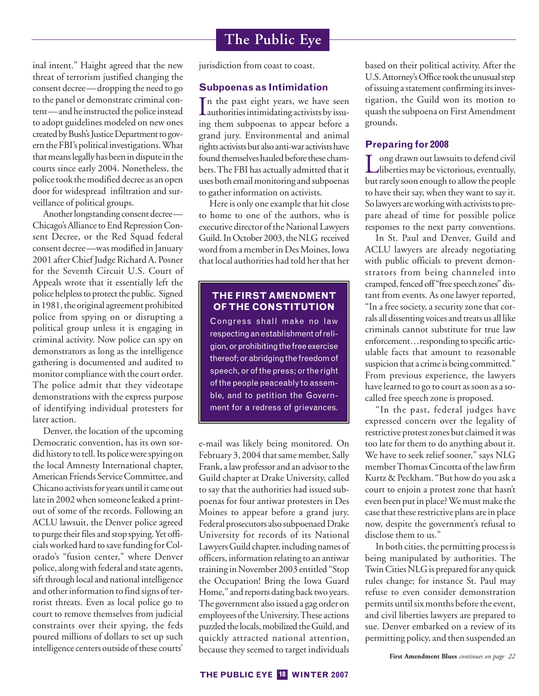inal intent." Haight agreed that the new threat of terrorism justified changing the consent decree—dropping the need to go to the panel or demonstrate criminal content—and he instructed the police instead to adopt guidelines modeled on new ones created by Bush's Justice Department to govern the FBI's political investigations. What that means legally has been in dispute in the courts since early 2004. Nonetheless, the police took the modified decree as an open door for widespread infiltration and surveillance of political groups.

Another longstanding consent decree— Chicago's Alliance to End Repression Consent Decree, or the Red Squad federal consent decree—was modified in January 2001 after Chief Judge Richard A. Posner for the Seventh Circuit U.S. Court of Appeals wrote that it essentially left the police helpless to protect the public. Signed in 1981, the original agreement prohibited police from spying on or disrupting a political group unless it is engaging in criminal activity. Now police can spy on demonstrators as long as the intelligence gathering is documented and audited to monitor compliance with the court order. The police admit that they videotape demonstrations with the express purpose of identifying individual protesters for later action.

Denver, the location of the upcoming Democratic convention, has its own sordid history to tell. Its police were spying on the local Amnesty International chapter, American Friends Service Committee, and Chicano activists for years until it came out late in 2002 when someone leaked a printout of some of the records. Following an ACLU lawsuit, the Denver police agreed to purge their files and stop spying. Yet officials worked hard to save funding for Colorado's "fusion center," where Denver police, along with federal and state agents, sift through local and national intelligence and other information to find signs of terrorist threats. Even as local police go to court to remove themselves from judicial constraints over their spying, the feds poured millions of dollars to set up such intelligence centers outside of these courts'

jurisdiction from coast to coast.

#### **Subpoenas as Intimidation**

 $\prod$ n the past eight years, we have seen<br>authorities intimidating activists by issun the past eight years, we have seen ing them subpoenas to appear before a grand jury. Environmental and animal rights activists but also anti-war activists have found themselves hauled before these chambers. The FBI has actually admitted that it uses both email monitoring and subpoenas to gather information on activists.

Here is only one example that hit close to home to one of the authors, who is executive director of the National Lawyers Guild. In October 2003, the NLG received word from a member in Des Moines, Iowa that local authorities had told her that her

## **THE FIRST AMENDMENT OF THE CONSTITUTION**

Congress shall make no law respecting an establishment of religion, or prohibiting the free exercise thereof; or abridging the freedom of speech, or of the press; or the right of the people peaceably to assemble, and to petition the Government for a redress of grievances.

e-mail was likely being monitored. On February 3, 2004 that same member, Sally Frank, a law professor and an advisor to the Guild chapter at Drake University, called to say that the authorities had issued subpoenas for four antiwar protesters in Des Moines to appear before a grand jury. Federal prosecutors also subpoenaed Drake University for records of its National Lawyers Guild chapter, including names of officers, information relating to an antiwar training in November 2003 entitled "Stop the Occupation! Bring the Iowa Guard Home," and reports dating back two years. The government also issued a gag order on employees of the University. These actions puzzled the locals, mobilized the Guild, and quickly attracted national attention, because they seemed to target individuals

based on their political activity. After the U.S. Attorney's Office took the unusual step of issuing a statement confirming its investigation, the Guild won its motion to quash the subpoena on First Amendment grounds.

## **Preparing for 2008**

Long drawn out lawsuits to defend civil<br>
liberties may be victorious, eventually, but rarely soon enough to allow the people to have their say, when they want to say it. So lawyers are working with activists to prepare ahead of time for possible police responses to the next party conventions.

In St. Paul and Denver, Guild and ACLU lawyers are already negotiating with public officials to prevent demonstrators from being channeled into cramped, fenced off "free speech zones" distant from events. As one lawyer reported, "In a free society, a security zone that corrals all dissenting voices and treats us all like criminals cannot substitute for true law enforcement…responding to specific articulable facts that amount to reasonable suspicion that a crime is being committed." From previous experience, the lawyers have learned to go to court as soon as a socalled free speech zone is proposed.

"In the past, federal judges have expressed concern over the legality of restrictive protest zones but claimed it was too late for them to do anything about it. We have to seek relief sooner," says NLG member Thomas Cincotta of the law firm Kurtz & Peckham. "But how do you ask a court to enjoin a protest zone that hasn't even been put in place? We must make the case that these restrictive plans are in place now, despite the government's refusal to disclose them to us."

In both cities, the permitting process is being manipulated by authorities. The Twin Cities NLG is prepared for any quick rules change; for instance St. Paul may refuse to even consider demonstration permits until six months before the event, and civil liberties lawyers are prepared to sue. Denver embarked on a review of its permitting policy, and then suspended an

**First Amendment Blues** *continues on page 22*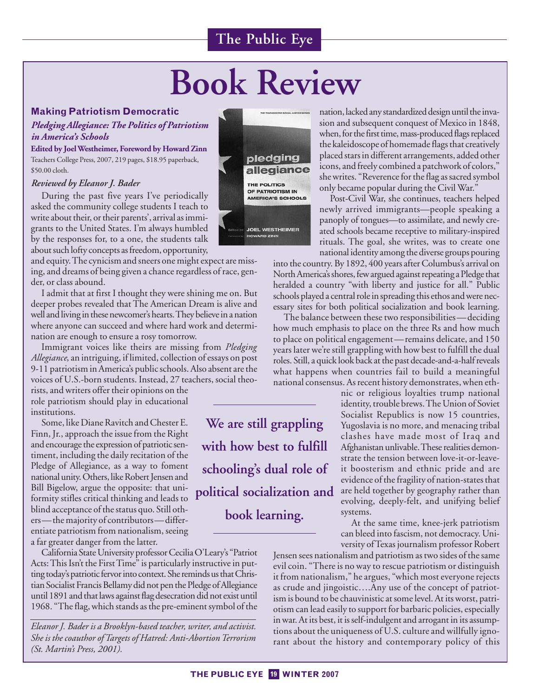# **Book Review**

## **Making Patriotism Democratic**

*Pledging Allegiance: The Politics of Patriotism in America's Schools*

**Edited by Joel Westheimer, Foreword by Howard Zinn** Teachers College Press, 2007, 219 pages, \$18.95 paperback, \$50.00 cloth.

## *Reviewed by Eleanor J. Bader*

During the past five years I've periodically asked the community college students I teach to write about their, or their parents', arrival as immigrants to the United States. I'm always humbled by the responses for, to a one, the students talk about such lofty concepts as freedom, opportunity,

and equity. The cynicism and sneers one might expect are missing, and dreams of being given a chance regardless of race, gender, or class abound.

I admit that at first I thought they were shining me on. But deeper probes revealed that The American Dream is alive and well and living in these newcomer's hearts. They believe in a nation where anyone can succeed and where hard work and determination are enough to ensure a rosy tomorrow.

Immigrant voices like theirs are missing from *Pledging Allegiance*, an intriguing, if limited, collection of essays on post 9-11 patriotism in America's public schools. Also absent are the voices of U.S.-born students. Instead, 27 teachers, social theo-

rists, and writers offer their opinions on the role patriotism should play in educational institutions.

Some, like Diane Ravitch and Chester E. Finn, Jr., approach the issue from the Right and encourage the expression of patriotic sentiment, including the daily recitation of the Pledge of Allegiance, as a way to foment national unity. Others, like Robert Jensen and Bill Bigelow, argue the opposite: that uniformity stifles critical thinking and leads to blind acceptance of the status quo. Still others—the majority of contributors—differentiate patriotism from nationalism, seeing a far greater danger from the latter.

California State University professor Cecilia O'Leary's "Patriot Acts: This Isn't the First Time" is particularly instructive in putting today's patriotic fervor into context. She reminds us that Christian Socialist Francis Bellamy did not pen the Pledge of Allegiance until 1891 and that laws against flag desecration did not exist until 1968. "The flag, which stands as the pre-eminent symbol of the

*Eleanor J. Bader is a Brooklyn-based teacher, writer, and activist. She is the coauthor of Targets of Hatred: Anti-Abortion Terrorism (St. Martin's Press, 2001).*

![](_page_18_Picture_14.jpeg)

nation, lacked any standardized design until the invasion and subsequent conquest of Mexico in 1848, when, for the first time, mass-produced flags replaced the kaleidoscope of homemade flags that creatively placed stars in different arrangements, added other icons, and freely combined a patchwork of colors," she writes. "Reverence for the flag as sacred symbol only became popular during the Civil War."

Post-Civil War, she continues, teachers helped newly arrived immigrants—people speaking a panoply of tongues—to assimilate, and newly created schools became receptive to military-inspired rituals. The goal, she writes, was to create one national identity among the diverse groups pouring

into the country. By 1892, 400 years after Columbus's arrival on North America's shores, few argued against repeating a Pledge that heralded a country "with liberty and justice for all." Public schools played a central role in spreading this ethos and were necessary sites for both political socialization and book learning.

The balance between these two responsibilities—deciding how much emphasis to place on the three Rs and how much to place on political engagement—remains delicate, and 150 years later we're still grappling with how best to fulfill the dual roles. Still, a quick look back at the past decade-and-a-half reveals what happens when countries fail to build a meaningful national consensus. As recent history demonstrates, when eth-

> nic or religious loyalties trump national identity, trouble brews. The Union of Soviet Socialist Republics is now 15 countries, Yugoslavia is no more, and menacing tribal clashes have made most of Iraq and Afghanistan unlivable. These realities demonstrate the tension between love-it-or-leaveit boosterism and ethnic pride and are evidence of the fragility of nation-states that are held together by geography rather than evolving, deeply-felt, and unifying belief systems.

> At the same time, knee-jerk patriotism can bleed into fascism, not democracy. University of Texas journalism professor Robert

Jensen sees nationalism and patriotism as two sides of the same evil coin. "There is no way to rescue patriotism or distinguish it from nationalism," he argues, "which most everyone rejects as crude and jingoistic….Any use of the concept of patriotism is bound to be chauvinistic at some level. At its worst, patriotism can lead easily to support for barbaric policies, especially in war. At its best, it is self-indulgent and arrogant in its assumptions about the uniqueness of U.S. culture and willfully ignorant about the history and contemporary policy of this

**We are still grappling with how best to fulfill schooling's dual role of political socialization and book learning.**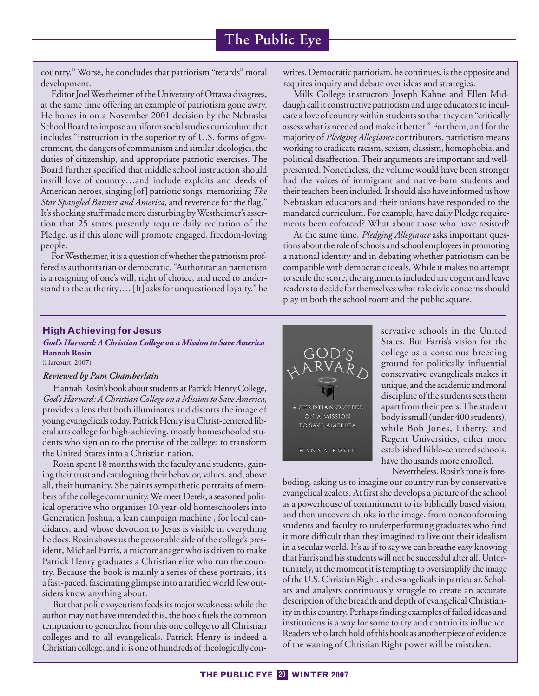country." Worse, he concludes that patriotism "retards" moral development.

Editor Joel Westheimer of the University of Ottawa disagrees, at the same time offering an example of patriotism gone awry. He hones in on a November 2001 decision by the Nebraska School Board to impose a uniform social studies curriculum that includes "instruction in the superiority of U.S. forms of government, the dangers of communism and similar ideologies, the duties of citizenship, and appropriate patriotic exercises. The Board further specified that middle school instruction should instill love of country…and include exploits and deeds of American heroes, singing [of] patriotic songs, memorizing *The Star Spangled Banner and America*, and reverence for the flag." It's shocking stuff made more disturbing by Westheimer's assertion that 25 states presently require daily recitation of the Pledge, as if this alone will promote engaged, freedom-loving people.

For Westheimer, it is a question of whether the patriotism proffered is authoritarian or democratic. "Authoritarian patriotism is a resigning of one's will, right of choice, and need to understand to the authority…. [It] asks for unquestioned loyalty," he writes. Democratic patriotism, he continues, is the opposite and requires inquiry and debate over ideas and strategies.

Mills College instructors Joseph Kahne and Ellen Middaugh call it constructive patriotism and urge educators to inculcate a love of country within students so that they can "critically assess what is needed and make it better." For them, and for the majority of *Pledging Allegiance* contributors, patriotism means working to eradicate racism, sexism, classism, homophobia, and political disaffection. Their arguments are important and wellpresented. Nonetheless, the volume would have been stronger had the voices of immigrant and native-born students and their teachers been included. It should also have informed us how Nebraskan educators and their unions have responded to the mandated curriculum. For example, have daily Pledge requirements been enforced? What about those who have resisted?

At the same time, *Pledging Allegiance* asks important questions about the role of schools and school employees in promoting a national identity and in debating whether patriotism can be compatible with democratic ideals. While it makes no attempt to settle the score, the arguments included are cogent and leave readers to decide for themselves what role civic concerns should play in both the school room and the public square.

## **High Achieving for Jesus**

#### *God's Harvard: A Christian College on a Mission to Save America* **Hannah Rosin** (Harcourt, 2007)

#### *Reviewed by Pam Chamberlain*

Hannah Rosin's book about students at Patrick Henry College, *God's Harvard: A Christian College on a Mission to Save America*, provides a lens that both illuminates and distorts the image of young evangelicals today. Patrick Henry is a Christ-centered liberal arts college for high-achieving, mostly homeschooled students who sign on to the premise of the college: to transform the United States into a Christian nation.

Rosin spent 18 months with the faculty and students, gaining their trust and cataloguing their behavior, values, and, above all, their humanity. She paints sympathetic portraits of members of the college community. We meet Derek, a seasoned political operative who organizes 10-year-old homeschoolers into Generation Joshua, a lean campaign machine , for local candidates, and whose devotion to Jesus is visible in everything he does. Rosin shows us the personable side of the college's president, Michael Farris, a micromanager who is driven to make Patrick Henry graduates a Christian elite who run the country. Because the book is mainly a series of these portraits, it's a fast-paced, fascinating glimpse into a rarified world few outsiders know anything about.

But that polite voyeurism feeds its major weakness: while the author may not have intended this, the book fuels the common temptation to generalize from this one college to all Christian colleges and to all evangelicals. Patrick Henry is indeed a Christian college, and it is one of hundreds of theologically con-

![](_page_19_Picture_13.jpeg)

servative schools in the United States. But Farris's vision for the college as a conscious breeding ground for politically influential conservative evangelicals makes it unique, and the academic and moral discipline of the students sets them apart from their peers. The student body is small (under 400 students), while Bob Jones, Liberty, and Regent Universities, other more established Bible-centered schools, have thousands more enrolled.

Nevertheless, Rosin's tone is fore-

boding, asking us to imagine our country run by conservative evangelical zealots. At first she develops a picture of the school as a powerhouse of commitment to its biblically based vision, and then uncovers chinks in the image, from nonconforming students and faculty to underperforming graduates who find it more difficult than they imagined to live out their idealism in a secular world. It's as if to say we can breathe easy knowing that Farris and his students will not be successful after all. Unfortunately, at the moment it is tempting to oversimplify the image of the U.S. Christian Right, and evangelicals in particular. Scholars and analysts continuously struggle to create an accurate description of the breadth and depth of evangelical Christianity in this country. Perhaps finding examples of failed ideas and institutions is a way for some to try and contain its influence. Readers who latch hold of this book as another piece of evidence of the waning of Christian Right power will be mistaken.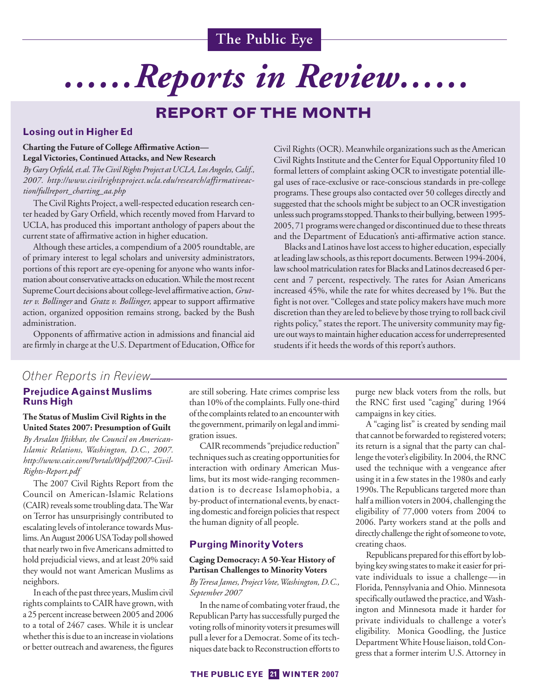# *……Reports in Review……*

## **REPORT OF THE MONTH**

## **Losing out in Higher Ed**

## **Charting the Future of College Affirmative Action— Legal Victories, Continued Attacks, and New Research**

*By Gary Orfield, et.al. The Civil Rights Project at UCLA, Los Angeles, Calif., 2007. http://www.civilrightsproject.ucla.edu/research/affirmativeaction/fullreport\_charting\_aa.php*

The Civil Rights Project, a well-respected education research center headed by Gary Orfield, which recently moved from Harvard to UCLA, has produced this important anthology of papers about the current state of affirmative action in higher education.

Although these articles, a compendium of a 2005 roundtable, are of primary interest to legal scholars and university administrators, portions of this report are eye-opening for anyone who wants information about conservative attacks on education. While the most recent Supreme Court decisions about college-level affirmative action, *Grutter v. Bollinger* and *Gratz v. Bollinger,* appear to support affirmative action, organized opposition remains strong, backed by the Bush administration.

Opponents of affirmative action in admissions and financial aid are firmly in charge at the U.S. Department of Education, Office for

Civil Rights (OCR). Meanwhile organizations such as the American Civil Rights Institute and the Center for Equal Opportunity filed 10 formal letters of complaint asking OCR to investigate potential illegal uses of race-exclusive or race-conscious standards in pre-college programs. These groups also contacted over 50 colleges directly and suggested that the schools might be subject to an OCR investigation unless such programs stopped. Thanks to their bullying, between 1995- 2005, 71 programs were changed or discontinued due to these threats and the Department of Education's anti-affirmative action stance.

Blacks and Latinos have lost access to higher education, especially at leading law schools, as this report documents. Between 1994-2004, law school matriculation rates for Blacks and Latinos decreased 6 percent and 7 percent, respectively. The rates for Asian Americans increased 45%, while the rate for whites decreased by 1%. But the fight is not over. "Colleges and state policy makers have much more discretion than they are led to believe by those trying to roll back civil rights policy," states the report. The university community may figure out ways to maintain higher education access for underrepresented students if it heeds the words of this report's authors.

## *Other Reports in Review*

## **Prejudice Against Muslims Runs High**

#### **The Status of Muslim Civil Rights in the United States 2007: Presumption of Guilt**

*By Arsalan Iftikhar, the Council on American-Islamic Relations, Washington, D.C., 2007. http://www.cair.com/Portals/0/pdf/2007-Civil-Rights-Report.pdf*

The 2007 Civil Rights Report from the Council on American-Islamic Relations (CAIR) reveals some troubling data. The War on Terror has unsurprisingly contributed to escalating levels of intolerance towards Muslims. An August 2006 USA Today poll showed that nearly two in five Americans admitted to hold prejudicial views, and at least 20% said they would not want American Muslims as neighbors.

In each of the past three years, Muslim civil rights complaints to CAIR have grown, with a 25 percent increase between 2005 and 2006 to a total of 2467 cases. While it is unclear whether this is due to an increase in violations or better outreach and awareness, the figures

are still sobering. Hate crimes comprise less than 10% of the complaints. Fully one-third of the complaints related to an encounter with the government, primarily on legal and immigration issues.

CAIR recommends "prejudice reduction" techniques such as creating opportunities for interaction with ordinary American Muslims, but its most wide-ranging recommendation is to decrease Islamophobia, a by-product of international events, by enacting domestic and foreign policies that respect the human dignity of all people.

#### **Purging Minority Voters**

#### **Caging Democracy: A 50-Year History of Partisan Challenges to Minority Voters**

*By Teresa James, Project Vote, Washington, D.C., September 2007* 

In the name of combating voter fraud, the Republican Party has successfully purged the voting rolls of minority voters it presumes will pull a lever for a Democrat. Some of its techniques date back to Reconstruction efforts to purge new black voters from the rolls, but the RNC first used "caging" during 1964 campaigns in key cities.

A "caging list" is created by sending mail that cannot be forwarded to registered voters; its return is a signal that the party can challenge the voter's eligibility. In 2004, the RNC used the technique with a vengeance after using it in a few states in the 1980s and early 1990s. The Republicans targeted more than half a million voters in 2004, challenging the eligibility of 77,000 voters from 2004 to 2006. Party workers stand at the polls and directly challenge the right of someone to vote, creating chaos.

Republicans prepared for this effort by lobbying key swing states to make it easier for private individuals to issue a challenge—in Florida, Pennsylvania and Ohio. Minnesota specifically outlawed the practice, and Washington and Minnesota made it harder for private individuals to challenge a voter's eligibility. Monica Goodling, the Justice Department White House liaison, told Congress that a former interim U.S. Attorney in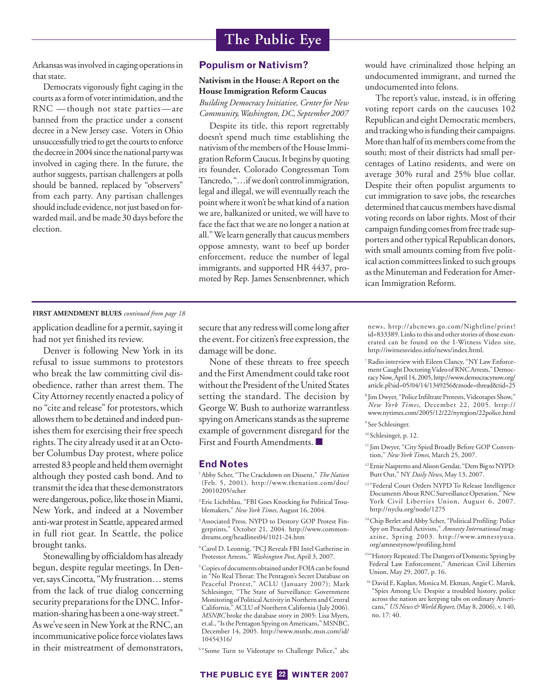Arkansas was involved in caging operations in that state.

Democrats vigorously fight caging in the courts as a form of voter intimidation, and the RNC —though not state parties—are banned from the practice under a consent decree in a New Jersey case. Voters in Ohio unsuccessfully tried to get the courts to enforce the decree in 2004 since the national party was involved in caging there. In the future, the author suggests, partisan challengers at polls should be banned, replaced by "observers" from each party. Any partisan challenges should include evidence, not just based on forwarded mail, and be made 30 days before the election.

#### **Populism or Nativism?**

#### **Nativism in the House: A Report on the House Immigration Reform Caucus**

*Building Democracy Initiative, Center for New Community, Washington, DC, September 2007* 

Despite its title, this report regrettably doesn't spend much time establishing the nativism of the members of the House Immigration Reform Caucus. It begins by quoting its founder, Colorado Congressman Tom Tancredo, "…if we don't control immigration, legal and illegal, we will eventually reach the point where it won't be what kind of a nation we are, balkanized or united, we will have to face the fact that we are no longer a nation at all." We learn generally that caucus members oppose amnesty, want to beef up border enforcement, reduce the number of legal immigrants, and supported HR 4437, promoted by Rep. James Sensenbrenner, which would have criminalized those helping an undocumented immigrant, and turned the undocumented into felons.

The report's value, instead, is in offering voting report cards on the caucuses 102 Republican and eight Democratic members, and tracking who is funding their campaigns. More than half of its members come from the south; most of their districts had small percentages of Latino residents, and were on average 30% rural and 25% blue collar. Despite their often populist arguments to cut immigration to save jobs, the researches determined that caucus members have dismal voting records on labor rights. Most of their campaign funding comes from free trade supporters and other typical Republican donors, with small amounts coming from five political action committees linked to such groups as the Minuteman and Federation for American Immigration Reform.

#### **FIRST AMENDMENT BLUES** *continued from page 18*

application deadline for a permit, saying it had not yet finished its review.

Denver is following New York in its refusal to issue summons to protestors who break the law committing civil disobedience, rather than arrest them. The City Attorney recently enacted a policy of no "cite and release" for protestors, which allows them to be detained and indeed punishes them for exercising their free speech rights. The city already used it at an October Columbus Day protest, where police arrested 83 people and held them overnight although they posted cash bond. And to transmit the idea that these demonstrators were dangerous, police, like those in Miami, New York, and indeed at a November anti-war protest in Seattle, appeared armed in full riot gear. In Seattle, the police brought tanks.

Stonewalling by officialdom has already begun, despite regular meetings. In Denver, says Cincotta, "My frustration… stems from the lack of true dialog concerning security preparations for the DNC. Information-sharing has been a one-way street." As we've seen in New York at the RNC, an incommunicative police force violates laws in their mistreatment of demonstrators,

secure that any redress will come long after the event. For citizen's free expression, the damage will be done.

None of these threats to free speech and the First Amendment could take root without the President of the United States setting the standard. The decision by George W. Bush to authorize warrantless spying on Americans stands as the supreme example of government disregard for the First and Fourth Amendments. ■

#### **End Notes**

- 1 Abby Scher, "The Crackdown on Dissent," *The Nation* (Feb. 5, 2001). http://www.thenation.com/doc/ 20010205/scher
- 2 Eric Lichtblau, "FBI Goes Knocking for Political Troublemakers," *New York Times,* August 16, 2004.
- 3 Associated Press, NYPD to Destory GOP Protest Fingerprints," October 21, 2004. http://www.commondreams.org/headlines04/1021-24.htm
- 4 Carol D. Leonnig, "PCJ Reveals FBI Intel Gatherine in Protestor Arrests," *Washington Post*, April 3, 2007.
- 5 Copies of documents obtained under FOIA can be found in "No Real Threat: The Pentagon's Secret Database on Peaceful Protest," ACLU (January 2007); Mark Schlesinger, "The State of Surveillance: Government Monitoring of Political Activity in Northern and Central California," ACLU of Northern California (July 2006). *MSNBC* broke the database story in 2005: Lisa Myers, et.al., "Is the Pentagon Spying on Americans," MSNBC, December 14, 2005. http://www.msnbc.msn.com/id/ 10454316/
- 6 "Some Turn to Videotape to Challenge Police," abc

news, http://abcnews.go.com/Nightline/print? id=833389. Links to this and other stories of those exonerated can be found on the I-Witness Video site, http://iwitnessvideo.info/news/index.html.

7 Radio interview with Eileen Clancy, "NY Law Enforcement Caught Doctoring Video of RNC Arrests," Democracy Now, April 14, 2005, http://www.democracynow.org/ article.pl?sid=05/04/14/1349256&mode=thread&tid=25

8 Jim Dwyer, "Police Infiltrate Protests, Videotapes Show," *New York Times*, December 22, 2005. http:// www.nytimes.com/2005/12/22/nyregion/22police.html

#### <sup>9</sup> See Schlesinger.

#### <sup>10</sup> Schlesinger, p. 12.

- <sup>11</sup> Jim Dwyer, "City Spied Broadly Before GOP Convention," *New York Times*, March 25, 2007.
- 12 Ernie Naspretto and Alison Gendar, "Dem Big to NYPD: Butt Out," NY *Daily News*, May 13, 2007.
- <sup>13</sup> "Federal Court Orders NYPD To Release Intelligence Documents About RNC Surveillance Operation," New York Civil Liberties Union, August 6, 2007. http://nyclu.org/node/1275
- 14 Chip Berlet and Abby Scher, "Political Profiling: Police Spy on Peaceful Activists," *Amnesty International* magazine, Spring 2003. http://www.amnestyusa. org/amnestynow/profiling.html
- 15"History Repeated: The Dangers of Domestic Spying by Federal Law Enforcement," American Civil Liberties Union, May 29, 2007, p. 16.
- <sup>16</sup> David E. Kaplan, Monica M. Ekman, Angie C. Marek, "Spies Among Us: Despite a troubled history, police across the nation are keeping tabs on ordinary Americans," *US News & World Report*, (May 8, 2006), v. 140, no. 17: 40.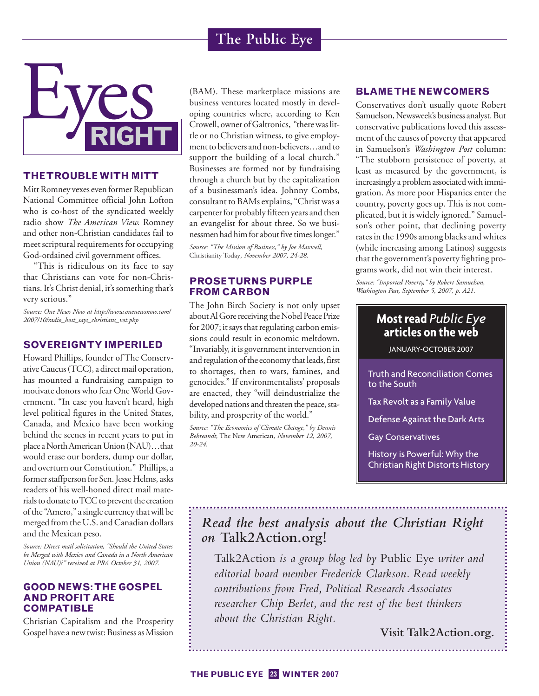![](_page_22_Picture_1.jpeg)

## **THE TROUBLE WITH MITT**

Mitt Romney vexes even former Republican National Committee official John Lofton who is co-host of the syndicated weekly radio show *The American View.* Romney and other non-Christian candidates fail to meet scriptural requirements for occupying God-ordained civil government offices.

"This is ridiculous on its face to say that Christians can vote for non-Christians. It's Christ denial, it's something that's very serious."

*Source: One News Now at http://www.onenewsnow.com/ 2007/10/radio\_host\_says\_christians\_vot.php*

## **SOVEREIGNTY IMPERILED**

Howard Phillips, founder of The Conservative Caucus (TCC), a direct mail operation, has mounted a fundraising campaign to motivate donors who fear One World Government. "In case you haven't heard, high level political figures in the United States, Canada, and Mexico have been working behind the scenes in recent years to put in place a North American Union (NAU)…that would erase our borders, dump our dollar, and overturn our Constitution." Phillips, a former staffperson for Sen. Jesse Helms, asks readers of his well-honed direct mail materials to donate to TCC to prevent the creation of the "Amero," a single currency that will be merged from the U.S. and Canadian dollars and the Mexican peso.

*Source: Direct mail solicitation, "Should the United States be Merged with Mexico and Canada in a North American Union (NAU)?" received at PRA October 31, 2007.*

## **GOOD NEWS: THE GOSPEL AND PROFIT ARE COMPATIBLE**

Christian Capitalism and the Prosperity Gospel have a new twist: Business as Mission

(BAM). These marketplace missions are business ventures located mostly in developing countries where, according to Ken Crowell, owner of Galtronics, "there was little or no Christian witness, to give employment to believers and non-believers…and to support the building of a local church." Businesses are formed not by fundraising through a church but by the capitalization of a businessman's idea. Johnny Combs, consultant to BAMs explains, "Christ was a carpenter for probably fifteen years and then an evangelist for about three. So we businessmen had him for about five times longer."

*Source: "The Mission of Business," by Joe Maxwell,* Christianity Today*, November 2007, 24-28.*

## **PROSE TURNS PURPLE FROM CARBON**

The John Birch Society is not only upset about Al Gore receiving the Nobel Peace Prize for 2007; it says that regulating carbon emissions could result in economic meltdown. "Invariably, it is government intervention in and regulation of the economy that leads, first to shortages, then to wars, famines, and genocides." If environmentalists' proposals are enacted, they "will deindustrialize the developed nations and threaten the peace, stability, and prosperity of the world."

*Source: "The Economics of Climate Change," by Dennis Behreandt,* The New American*, November 12, 2007, 20-24.*

## **BLAME THE NEWCOMERS**

Conservatives don't usually quote Robert Samuelson, Newsweek's business analyst. But conservative publications loved this assessment of the causes of poverty that appeared in Samuelson's *Washington Post* column: "The stubborn persistence of poverty, at least as measured by the government, is increasingly a problem associated with immigration. As more poor Hispanics enter the country, poverty goes up. This is not complicated, but it is widely ignored." Samuelson's other point, that declining poverty rates in the 1990s among blacks and whites (while increasing among Latinos) suggests that the government's poverty fighting programs work, did not win their interest.

*Source: "Imported Poverty," by Robert Samuelson, Washington Post, September 5, 2007, p. A21.*

## **Most read** *Public Eye* **articles on the web**

JANUARY-OCTOBER 2007

Truth and Reconciliation Comes to the South

Tax Revolt as a Family Value

Defense Against the Dark Arts

Gay Conservatives

History is Powerful: Why the Christian Right Distorts History

## *Read the best analysis about the Christian Right on* **Talk2Action.org!**

Talk2Action *is a group blog led by* Public Eye *writer and editorial board member Frederick Clarkson. Read weekly contributions from Fred, Political Research Associates researcher Chip Berlet, and the rest of the best thinkers about the Christian Right.*

**Visit Talk2Action.org.**